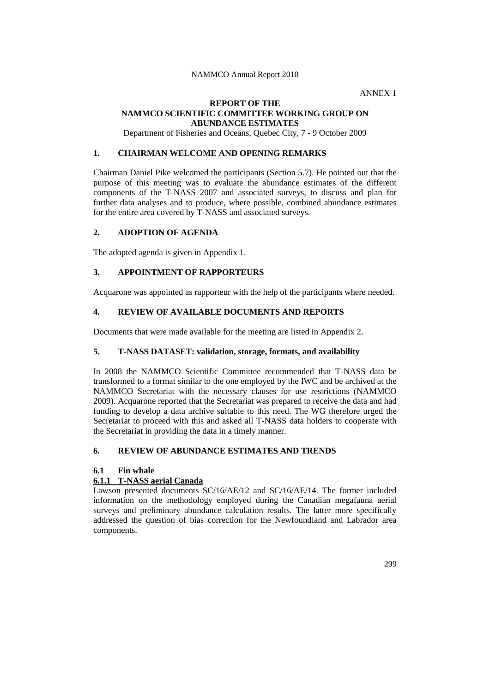ANNEX 1

### **REPORT OF THE NAMMCO SCIENTIFIC COMMITTEE WORKING GROUP ON ABUNDANCE ESTIMATES**

Department of Fisheries and Oceans, Quebec City, 7 - 9 October 2009

# **1. CHAIRMAN WELCOME AND OPENING REMARKS**

Chairman Daniel Pike welcomed the participants (Section 5.7). He pointed out that the purpose of this meeting was to evaluate the abundance estimates of the different components of the T-NASS 2007 and associated surveys, to discuss and plan for further data analyses and to produce, where possible, combined abundance estimates for the entire area covered by T-NASS and associated surveys.

# **2. ADOPTION OF AGENDA**

The adopted agenda is given in Appendix 1.

# **3. APPOINTMENT OF RAPPORTEURS**

Acquarone was appointed as rapporteur with the help of the participants where needed.

# **4. REVIEW OF AVAILABLE DOCUMENTS AND REPORTS**

Documents that were made available for the meeting are listed in Appendix 2.

### **5. T-NASS DATASET: validation, storage, formats, and availability**

In 2008 the NAMMCO Scientific Committee recommended that T-NASS data be transformed to a format similar to the one employed by the IWC and be archived at the NAMMCO Secretariat with the necessary clauses for use restrictions (NAMMCO 2009). Acquarone reported that the Secretariat was prepared to receive the data and had funding to develop a data archive suitable to this need. The WG therefore urged the Secretariat to proceed with this and asked all T-NASS data holders to cooperate with the Secretariat in providing the data in a timely manner.

# **6. REVIEW OF ABUNDANCE ESTIMATES AND TRENDS**

### **6.1 Fin whale**

## **6.1.1 T-NASS aerial Canada**

Lawson presented documents SC/16/AE/12 and SC/16/AE/14. The former included information on the methodology employed during the Canadian megafauna aerial surveys and preliminary abundance calculation results. The latter more specifically addressed the question of bias correction for the Newfoundland and Labrador area components.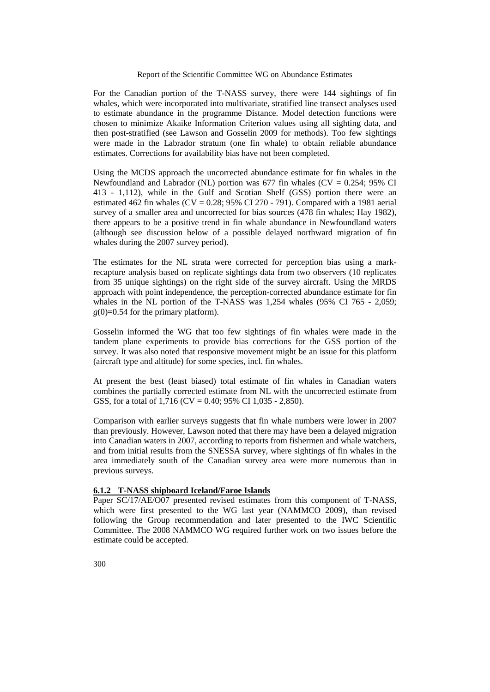For the Canadian portion of the T-NASS survey, there were 144 sightings of fin whales, which were incorporated into multivariate, stratified line transect analyses used to estimate abundance in the programme Distance. Model detection functions were chosen to minimize Akaike Information Criterion values using all sighting data, and then post-stratified (see Lawson and Gosselin 2009 for methods). Too few sightings were made in the Labrador stratum (one fin whale) to obtain reliable abundance estimates. Corrections for availability bias have not been completed.

Using the MCDS approach the uncorrected abundance estimate for fin whales in the Newfoundland and Labrador (NL) portion was 677 fin whales ( $CV = 0.254$ ; 95% CI 413 - 1,112), while in the Gulf and Scotian Shelf (GSS) portion there were an estimated 462 fin whales (CV =  $0.28$ ; 95% CI 270 - 791). Compared with a 1981 aerial survey of a smaller area and uncorrected for bias sources (478 fin whales; Hay 1982), there appears to be a positive trend in fin whale abundance in Newfoundland waters (although see discussion below of a possible delayed northward migration of fin whales during the 2007 survey period).

The estimates for the NL strata were corrected for perception bias using a markrecapture analysis based on replicate sightings data from two observers (10 replicates from 35 unique sightings) on the right side of the survey aircraft. Using the MRDS approach with point independence, the perception-corrected abundance estimate for fin whales in the NL portion of the T-NASS was 1,254 whales (95% CI 765 - 2,059;  $g(0)=0.54$  for the primary platform).

Gosselin informed the WG that too few sightings of fin whales were made in the tandem plane experiments to provide bias corrections for the GSS portion of the survey. It was also noted that responsive movement might be an issue for this platform (aircraft type and altitude) for some species, incl. fin whales.

At present the best (least biased) total estimate of fin whales in Canadian waters combines the partially corrected estimate from NL with the uncorrected estimate from GSS, for a total of  $1.716$  (CV = 0.40; 95% CI 1,035 - 2,850).

Comparison with earlier surveys suggests that fin whale numbers were lower in 2007 than previously. However, Lawson noted that there may have been a delayed migration into Canadian waters in 2007, according to reports from fishermen and whale watchers, and from initial results from the SNESSA survey, where sightings of fin whales in the area immediately south of the Canadian survey area were more numerous than in previous surveys.

# **6.1.2 T-NASS shipboard Iceland/Faroe Islands**

Paper SC/17/AE/O07 presented revised estimates from this component of T-NASS, which were first presented to the WG last year (NAMMCO 2009), than revised following the Group recommendation and later presented to the IWC Scientific Committee. The 2008 NAMMCO WG required further work on two issues before the estimate could be accepted.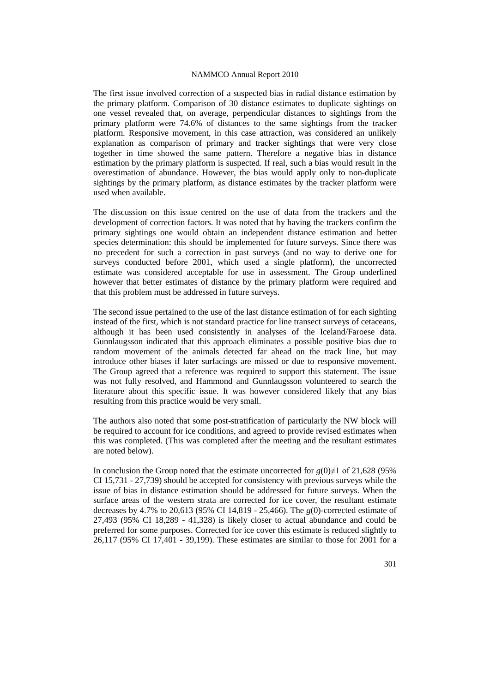The first issue involved correction of a suspected bias in radial distance estimation by the primary platform. Comparison of 30 distance estimates to duplicate sightings on one vessel revealed that, on average, perpendicular distances to sightings from the primary platform were 74.6% of distances to the same sightings from the tracker platform. Responsive movement, in this case attraction, was considered an unlikely explanation as comparison of primary and tracker sightings that were very close together in time showed the same pattern. Therefore a negative bias in distance estimation by the primary platform is suspected. If real, such a bias would result in the overestimation of abundance. However, the bias would apply only to non-duplicate sightings by the primary platform, as distance estimates by the tracker platform were used when available.

The discussion on this issue centred on the use of data from the trackers and the development of correction factors. It was noted that by having the trackers confirm the primary sightings one would obtain an independent distance estimation and better species determination: this should be implemented for future surveys. Since there was no precedent for such a correction in past surveys (and no way to derive one for surveys conducted before 2001, which used a single platform), the uncorrected estimate was considered acceptable for use in assessment. The Group underlined however that better estimates of distance by the primary platform were required and that this problem must be addressed in future surveys.

The second issue pertained to the use of the last distance estimation of for each sighting instead of the first, which is not standard practice for line transect surveys of cetaceans, although it has been used consistently in analyses of the Iceland/Faroese data. Gunnlaugsson indicated that this approach eliminates a possible positive bias due to random movement of the animals detected far ahead on the track line, but may introduce other biases if later surfacings are missed or due to responsive movement. The Group agreed that a reference was required to support this statement. The issue was not fully resolved, and Hammond and Gunnlaugsson volunteered to search the literature about this specific issue. It was however considered likely that any bias resulting from this practice would be very small.

The authors also noted that some post-stratification of particularly the NW block will be required to account for ice conditions, and agreed to provide revised estimates when this was completed. (This was completed after the meeting and the resultant estimates are noted below).

In conclusion the Group noted that the estimate uncorrected for  $g(0) \neq 1$  of 21,628 (95%) CI 15,731 - 27,739) should be accepted for consistency with previous surveys while the issue of bias in distance estimation should be addressed for future surveys. When the surface areas of the western strata are corrected for ice cover, the resultant estimate decreases by 4.7% to 20,613 (95% CI 14,819 - 25,466). The *g*(0)*-*corrected estimate of 27,493 (95% CI 18,289 - 41,328) is likely closer to actual abundance and could be preferred for some purposes. Corrected for ice cover this estimate is reduced slightly to 26,117 (95% CI 17,401 - 39,199). These estimates are similar to those for 2001 for a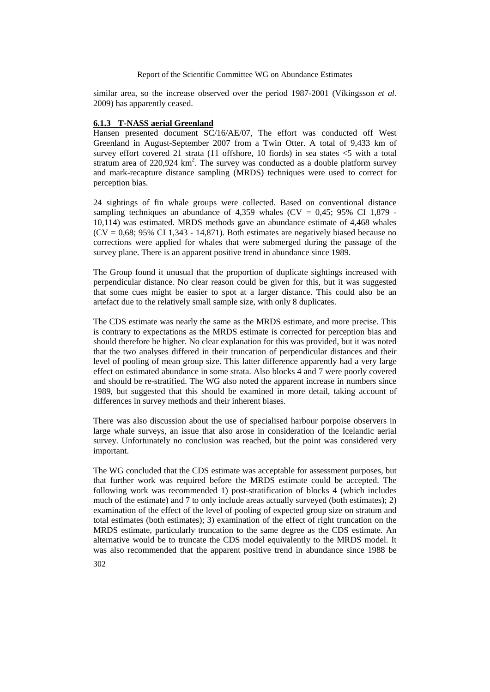similar area, so the increase observed over the period 1987-2001 (Víkingsson *et al.* 2009) has apparently ceased.

# **6.1.3 T-NASS aerial Greenland**

Hansen presented document SC/16/AE/07, The effort was conducted off West Greenland in August-September 2007 from a Twin Otter. A total of 9,433 km of survey effort covered 21 strata (11 offshore, 10 fiords) in sea states  $\leq$ 5 with a total stratum area of 220,924  $km^2$ . The survey was conducted as a double platform survey and mark-recapture distance sampling (MRDS) techniques were used to correct for perception bias.

24 sightings of fin whale groups were collected. Based on conventional distance sampling techniques an abundance of 4,359 whales ( $CV = 0.45$ ; 95% CI 1,879 -10,114) was estimated. MRDS methods gave an abundance estimate of 4,468 whales  $(CV = 0.68; 95\% \text{ CI } 1.343 - 14.871$ . Both estimates are negatively biased because no corrections were applied for whales that were submerged during the passage of the survey plane. There is an apparent positive trend in abundance since 1989.

The Group found it unusual that the proportion of duplicate sightings increased with perpendicular distance. No clear reason could be given for this, but it was suggested that some cues might be easier to spot at a larger distance. This could also be an artefact due to the relatively small sample size, with only 8 duplicates.

The CDS estimate was nearly the same as the MRDS estimate, and more precise. This is contrary to expectations as the MRDS estimate is corrected for perception bias and should therefore be higher. No clear explanation for this was provided, but it was noted that the two analyses differed in their truncation of perpendicular distances and their level of pooling of mean group size. This latter difference apparently had a very large effect on estimated abundance in some strata. Also blocks 4 and 7 were poorly covered and should be re-stratified. The WG also noted the apparent increase in numbers since 1989, but suggested that this should be examined in more detail, taking account of differences in survey methods and their inherent biases.

There was also discussion about the use of specialised harbour porpoise observers in large whale surveys, an issue that also arose in consideration of the Icelandic aerial survey. Unfortunately no conclusion was reached, but the point was considered very important.

The WG concluded that the CDS estimate was acceptable for assessment purposes, but that further work was required before the MRDS estimate could be accepted. The following work was recommended 1) post-stratification of blocks 4 (which includes much of the estimate) and 7 to only include areas actually surveyed (both estimates); 2) examination of the effect of the level of pooling of expected group size on stratum and total estimates (both estimates); 3) examination of the effect of right truncation on the MRDS estimate, particularly truncation to the same degree as the CDS estimate. An alternative would be to truncate the CDS model equivalently to the MRDS model. It was also recommended that the apparent positive trend in abundance since 1988 be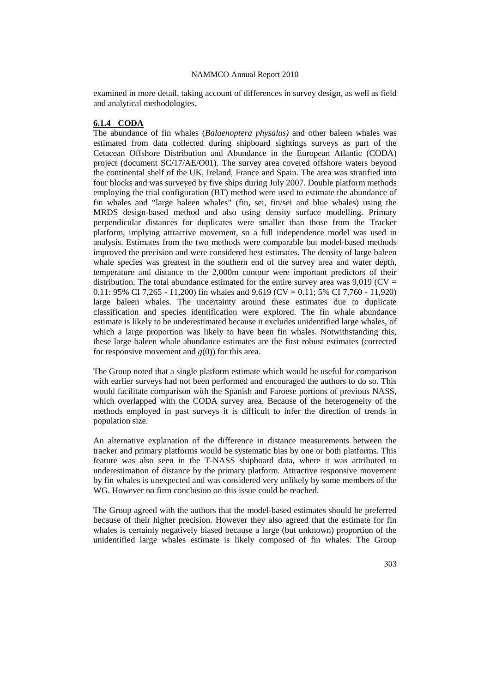examined in more detail, taking account of differences in survey design, as well as field and analytical methodologies.

# **6.1.4 CODA**

The abundance of fin whales (*Balaenoptera physalus)* and other baleen whales was estimated from data collected during shipboard sightings surveys as part of the Cetacean Offshore Distribution and Abundance in the European Atlantic (CODA) project (document SC/17/AE/O01). The survey area covered offshore waters beyond the continental shelf of the UK, Ireland, France and Spain. The area was stratified into four blocks and was surveyed by five ships during July 2007. Double platform methods employing the trial configuration (BT) method were used to estimate the abundance of fin whales and "large baleen whales" (fin, sei, fin/sei and blue whales) using the MRDS design-based method and also using density surface modelling. Primary perpendicular distances for duplicates were smaller than those from the Tracker platform, implying attractive movement, so a full independence model was used in analysis. Estimates from the two methods were comparable but model-based methods improved the precision and were considered best estimates. The density of large baleen whale species was greatest in the southern end of the survey area and water depth, temperature and distance to the 2,000m contour were important predictors of their distribution. The total abundance estimated for the entire survey area was  $9.019$  (CV = 0.11: 95% CI 7,265 - 11,200) fin whales and 9,619 (CV = 0.11; 5% CI 7,760 - 11,920) large baleen whales. The uncertainty around these estimates due to duplicate classification and species identification were explored. The fin whale abundance estimate is likely to be underestimated because it excludes unidentified large whales, of which a large proportion was likely to have been fin whales. Notwithstanding this, these large baleen whale abundance estimates are the first robust estimates (corrected for responsive movement and  $g(0)$ ) for this area.

The Group noted that a single platform estimate which would be useful for comparison with earlier surveys had not been performed and encouraged the authors to do so. This would facilitate comparison with the Spanish and Faroese portions of previous NASS, which overlapped with the CODA survey area. Because of the heterogeneity of the methods employed in past surveys it is difficult to infer the direction of trends in population size.

An alternative explanation of the difference in distance measurements between the tracker and primary platforms would be systematic bias by one or both platforms. This feature was also seen in the T-NASS shipboard data, where it was attributed to underestimation of distance by the primary platform. Attractive responsive movement by fin whales is unexpected and was considered very unlikely by some members of the WG. However no firm conclusion on this issue could be reached.

The Group agreed with the authors that the model-based estimates should be preferred because of their higher precision. However they also agreed that the estimate for fin whales is certainly negatively biased because a large (but unknown) proportion of the unidentified large whales estimate is likely composed of fin whales. The Group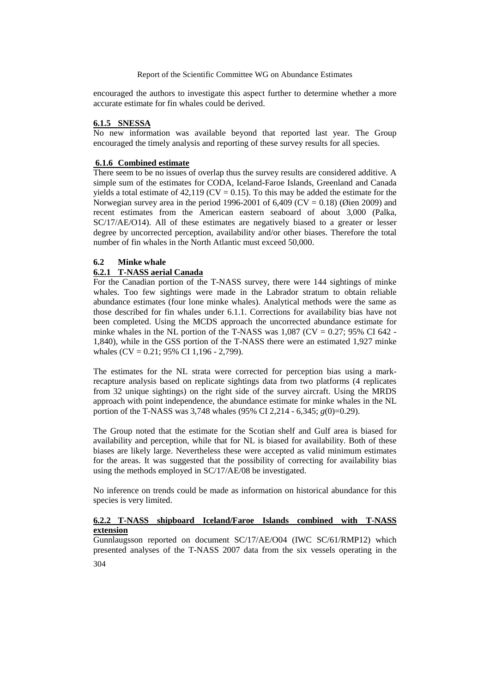encouraged the authors to investigate this aspect further to determine whether a more accurate estimate for fin whales could be derived.

### **6.1.5 SNESSA**

No new information was available beyond that reported last year. The Group encouraged the timely analysis and reporting of these survey results for all species.

### **6.1.6 Combined estimate**

There seem to be no issues of overlap thus the survey results are considered additive. A simple sum of the estimates for CODA, Iceland-Faroe Islands, Greenland and Canada yields a total estimate of  $42,119$  (CV = 0.15). To this may be added the estimate for the Norwegian survey area in the period 1996-2001 of 6,409 (CV = 0.18) (Øien 2009) and recent estimates from the American eastern seaboard of about 3,000 (Palka, SC/17/AE/O14). All of these estimates are negatively biased to a greater or lesser degree by uncorrected perception, availability and/or other biases. Therefore the total number of fin whales in the North Atlantic must exceed 50,000.

#### **6.2 Minke whale**

#### **6.2.1 T-NASS aerial Canada**

For the Canadian portion of the T-NASS survey, there were 144 sightings of minke whales. Too few sightings were made in the Labrador stratum to obtain reliable abundance estimates (four lone minke whales). Analytical methods were the same as those described for fin whales under 6.1.1. Corrections for availability bias have not been completed. Using the MCDS approach the uncorrected abundance estimate for minke whales in the NL portion of the T-NASS was  $1,087$  (CV = 0.27; 95% CI 642 -1,840), while in the GSS portion of the T-NASS there were an estimated 1,927 minke whales  $(CV = 0.21; 95\% \overline{C}I 1,196 - 2,799)$ .

The estimates for the NL strata were corrected for perception bias using a markrecapture analysis based on replicate sightings data from two platforms (4 replicates from 32 unique sightings) on the right side of the survey aircraft. Using the MRDS approach with point independence, the abundance estimate for minke whales in the NL portion of the T-NASS was 3,748 whales (95% CI 2,214 - 6,345; *g*(0)=0.29).

The Group noted that the estimate for the Scotian shelf and Gulf area is biased for availability and perception, while that for NL is biased for availability. Both of these biases are likely large. Nevertheless these were accepted as valid minimum estimates for the areas. It was suggested that the possibility of correcting for availability bias using the methods employed in SC/17/AE/08 be investigated.

No inference on trends could be made as information on historical abundance for this species is very limited.

# **6.2.2 T-NASS shipboard Iceland/Faroe Islands combined with T-NASS extension**

304 Gunnlaugsson reported on document SC/17/AE/O04 (IWC SC/61/RMP12) which presented analyses of the T-NASS 2007 data from the six vessels operating in the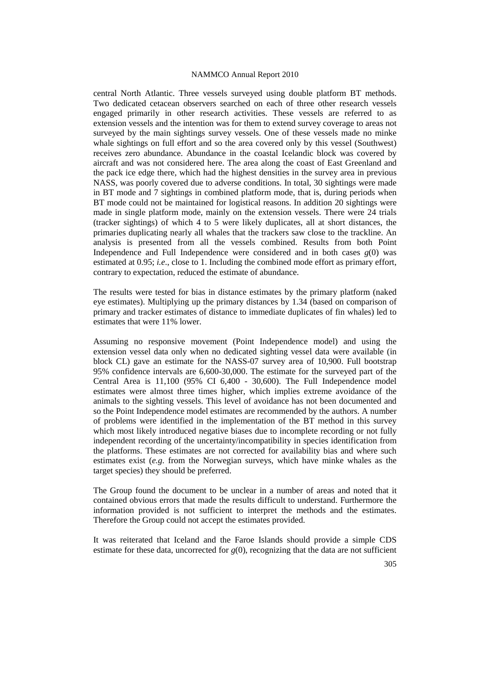central North Atlantic. Three vessels surveyed using double platform BT methods. Two dedicated cetacean observers searched on each of three other research vessels engaged primarily in other research activities. These vessels are referred to as extension vessels and the intention was for them to extend survey coverage to areas not surveyed by the main sightings survey vessels. One of these vessels made no minke whale sightings on full effort and so the area covered only by this vessel (Southwest) receives zero abundance. Abundance in the coastal Icelandic block was covered by aircraft and was not considered here. The area along the coast of East Greenland and the pack ice edge there, which had the highest densities in the survey area in previous NASS, was poorly covered due to adverse conditions. In total, 30 sightings were made in BT mode and 7 sightings in combined platform mode, that is, during periods when BT mode could not be maintained for logistical reasons. In addition 20 sightings were made in single platform mode, mainly on the extension vessels. There were 24 trials (tracker sightings) of which 4 to 5 were likely duplicates, all at short distances, the primaries duplicating nearly all whales that the trackers saw close to the trackline. An analysis is presented from all the vessels combined. Results from both Point Independence and Full Independence were considered and in both cases  $g(0)$  was estimated at 0.95; *i.e*., close to 1. Including the combined mode effort as primary effort, contrary to expectation, reduced the estimate of abundance.

The results were tested for bias in distance estimates by the primary platform (naked eye estimates). Multiplying up the primary distances by 1.34 (based on comparison of primary and tracker estimates of distance to immediate duplicates of fin whales) led to estimates that were 11% lower.

Assuming no responsive movement (Point Independence model) and using the extension vessel data only when no dedicated sighting vessel data were available (in block CL) gave an estimate for the NASS-07 survey area of 10,900. Full bootstrap 95% confidence intervals are 6,600-30,000. The estimate for the surveyed part of the Central Area is 11,100 (95% CI 6,400 - 30,600). The Full Independence model estimates were almost three times higher, which implies extreme avoidance of the animals to the sighting vessels. This level of avoidance has not been documented and so the Point Independence model estimates are recommended by the authors. A number of problems were identified in the implementation of the BT method in this survey which most likely introduced negative biases due to incomplete recording or not fully independent recording of the uncertainty/incompatibility in species identification from the platforms. These estimates are not corrected for availability bias and where such estimates exist (*e.g*. from the Norwegian surveys, which have minke whales as the target species) they should be preferred.

The Group found the document to be unclear in a number of areas and noted that it contained obvious errors that made the results difficult to understand. Furthermore the information provided is not sufficient to interpret the methods and the estimates. Therefore the Group could not accept the estimates provided.

It was reiterated that Iceland and the Faroe Islands should provide a simple CDS estimate for these data, uncorrected for  $g(0)$ , recognizing that the data are not sufficient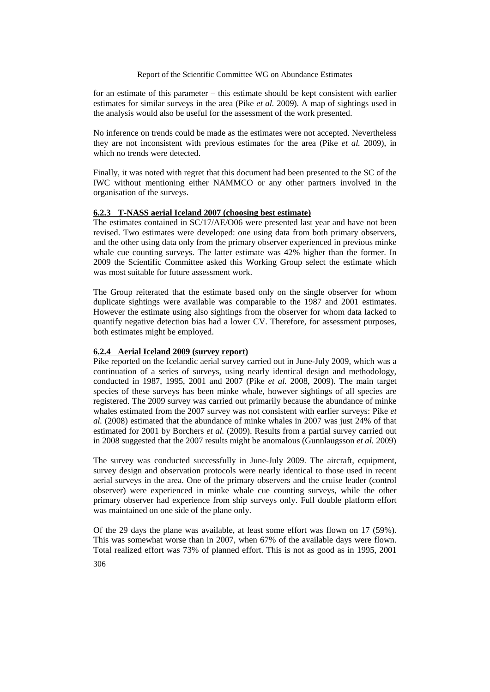for an estimate of this parameter – this estimate should be kept consistent with earlier estimates for similar surveys in the area (Pike *et al.* 2009). A map of sightings used in the analysis would also be useful for the assessment of the work presented.

No inference on trends could be made as the estimates were not accepted. Nevertheless they are not inconsistent with previous estimates for the area (Pike *et al.* 2009), in which no trends were detected.

Finally, it was noted with regret that this document had been presented to the SC of the IWC without mentioning either NAMMCO or any other partners involved in the organisation of the surveys.

# **6.2.3 T-NASS aerial Iceland 2007 (choosing best estimate)**

The estimates contained in SC/17/AE/O06 were presented last year and have not been revised. Two estimates were developed: one using data from both primary observers, and the other using data only from the primary observer experienced in previous minke whale cue counting surveys. The latter estimate was 42% higher than the former. In 2009 the Scientific Committee asked this Working Group select the estimate which was most suitable for future assessment work.

The Group reiterated that the estimate based only on the single observer for whom duplicate sightings were available was comparable to the 1987 and 2001 estimates. However the estimate using also sightings from the observer for whom data lacked to quantify negative detection bias had a lower CV. Therefore, for assessment purposes, both estimates might be employed.

### **6.2.4 Aerial Iceland 2009 (survey report)**

Pike reported on the Icelandic aerial survey carried out in June-July 2009, which was a continuation of a series of surveys, using nearly identical design and methodology, conducted in 1987, 1995, 2001 and 2007 (Pike *et al.* 2008, 2009). The main target species of these surveys has been minke whale, however sightings of all species are registered. The 2009 survey was carried out primarily because the abundance of minke whales estimated from the 2007 survey was not consistent with earlier surveys: Pike *et al.* (2008) estimated that the abundance of minke whales in 2007 was just 24% of that estimated for 2001 by Borchers *et al.* (2009). Results from a partial survey carried out in 2008 suggested that the 2007 results might be anomalous (Gunnlaugsson *et al.* 2009)

The survey was conducted successfully in June-July 2009. The aircraft, equipment, survey design and observation protocols were nearly identical to those used in recent aerial surveys in the area. One of the primary observers and the cruise leader (control observer) were experienced in minke whale cue counting surveys, while the other primary observer had experience from ship surveys only. Full double platform effort was maintained on one side of the plane only.

306 Of the 29 days the plane was available, at least some effort was flown on 17 (59%). This was somewhat worse than in 2007, when 67% of the available days were flown. Total realized effort was 73% of planned effort. This is not as good as in 1995, 2001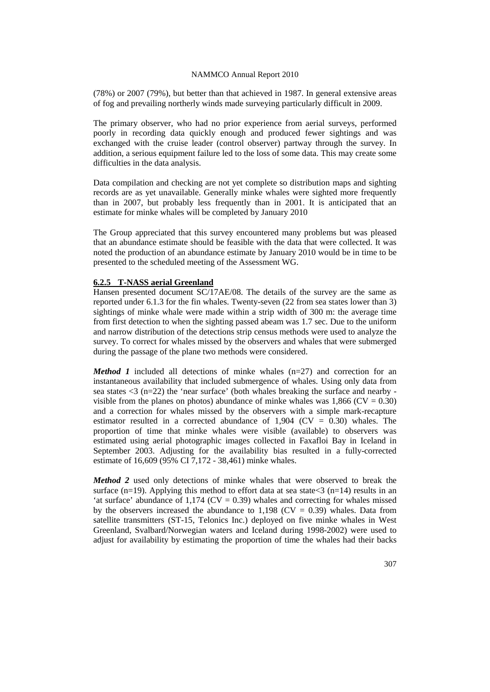(78%) or 2007 (79%), but better than that achieved in 1987. In general extensive areas of fog and prevailing northerly winds made surveying particularly difficult in 2009.

The primary observer, who had no prior experience from aerial surveys, performed poorly in recording data quickly enough and produced fewer sightings and was exchanged with the cruise leader (control observer) partway through the survey. In addition, a serious equipment failure led to the loss of some data. This may create some difficulties in the data analysis.

Data compilation and checking are not yet complete so distribution maps and sighting records are as yet unavailable. Generally minke whales were sighted more frequently than in 2007, but probably less frequently than in 2001. It is anticipated that an estimate for minke whales will be completed by January 2010

The Group appreciated that this survey encountered many problems but was pleased that an abundance estimate should be feasible with the data that were collected. It was noted the production of an abundance estimate by January 2010 would be in time to be presented to the scheduled meeting of the Assessment WG.

#### **6.2.5 T-NASS aerial Greenland**

Hansen presented document SC/17AE/08. The details of the survey are the same as reported under 6.1.3 for the fin whales. Twenty-seven (22 from sea states lower than 3) sightings of minke whale were made within a strip width of 300 m: the average time from first detection to when the sighting passed abeam was 1.7 sec. Due to the uniform and narrow distribution of the detections strip census methods were used to analyze the survey. To correct for whales missed by the observers and whales that were submerged during the passage of the plane two methods were considered.

*Method 1* included all detections of minke whales (n=27) and correction for an instantaneous availability that included submergence of whales. Using only data from sea states  $\langle 3 \rangle$  (n=22) the 'near surface' (both whales breaking the surface and nearby visible from the planes on photos) abundance of minke whales was 1,866 ( $CV = 0.30$ ) and a correction for whales missed by the observers with a simple mark-recapture estimator resulted in a corrected abundance of  $1,904$  (CV = 0.30) whales. The proportion of time that minke whales were visible (available) to observers was estimated using aerial photographic images collected in Faxafloi Bay in Iceland in September 2003. Adjusting for the availability bias resulted in a fully-corrected estimate of 16,609 (95% CI 7,172 - 38,461) minke whales.

*Method 2* used only detections of minke whales that were observed to break the surface (n=19). Applying this method to effort data at sea state  $\langle 3 \rangle$  (n=14) results in an 'at surface' abundance of  $1,174$  (CV = 0.39) whales and correcting for whales missed by the observers increased the abundance to  $1,198$  (CV = 0.39) whales. Data from satellite transmitters (ST-15, Telonics Inc.) deployed on five minke whales in West Greenland, Svalbard/Norwegian waters and Iceland during 1998-2002) were used to adjust for availability by estimating the proportion of time the whales had their backs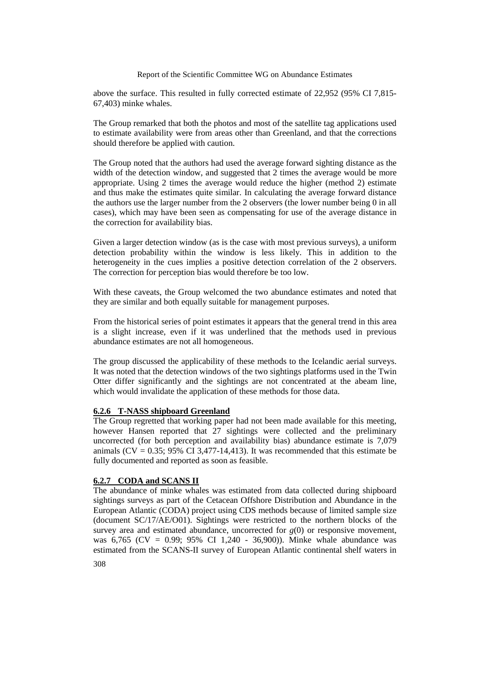above the surface. This resulted in fully corrected estimate of 22,952 (95% CI 7,815- 67,403) minke whales.

The Group remarked that both the photos and most of the satellite tag applications used to estimate availability were from areas other than Greenland, and that the corrections should therefore be applied with caution.

The Group noted that the authors had used the average forward sighting distance as the width of the detection window, and suggested that 2 times the average would be more appropriate. Using 2 times the average would reduce the higher (method 2) estimate and thus make the estimates quite similar. In calculating the average forward distance the authors use the larger number from the 2 observers (the lower number being 0 in all cases), which may have been seen as compensating for use of the average distance in the correction for availability bias.

Given a larger detection window (as is the case with most previous surveys), a uniform detection probability within the window is less likely. This in addition to the heterogeneity in the cues implies a positive detection correlation of the 2 observers. The correction for perception bias would therefore be too low.

With these caveats, the Group welcomed the two abundance estimates and noted that they are similar and both equally suitable for management purposes.

From the historical series of point estimates it appears that the general trend in this area is a slight increase, even if it was underlined that the methods used in previous abundance estimates are not all homogeneous.

The group discussed the applicability of these methods to the Icelandic aerial surveys. It was noted that the detection windows of the two sightings platforms used in the Twin Otter differ significantly and the sightings are not concentrated at the abeam line, which would invalidate the application of these methods for those data.

### **6.2.6 T-NASS shipboard Greenland**

The Group regretted that working paper had not been made available for this meeting, however Hansen reported that 27 sightings were collected and the preliminary uncorrected (for both perception and availability bias) abundance estimate is 7,079 animals ( $CV = 0.35$ ; 95% CI 3,477-14,413). It was recommended that this estimate be fully documented and reported as soon as feasible.

# **6.2.7 CODA and SCANS II**

The abundance of minke whales was estimated from data collected during shipboard sightings surveys as part of the Cetacean Offshore Distribution and Abundance in the European Atlantic (CODA) project using CDS methods because of limited sample size (document SC/17/AE/O01). Sightings were restricted to the northern blocks of the survey area and estimated abundance, uncorrected for *g*(0) or responsive movement, was 6,765 (CV = 0.99; 95% CI 1,240 - 36,900)). Minke whale abundance was estimated from the SCANS-II survey of European Atlantic continental shelf waters in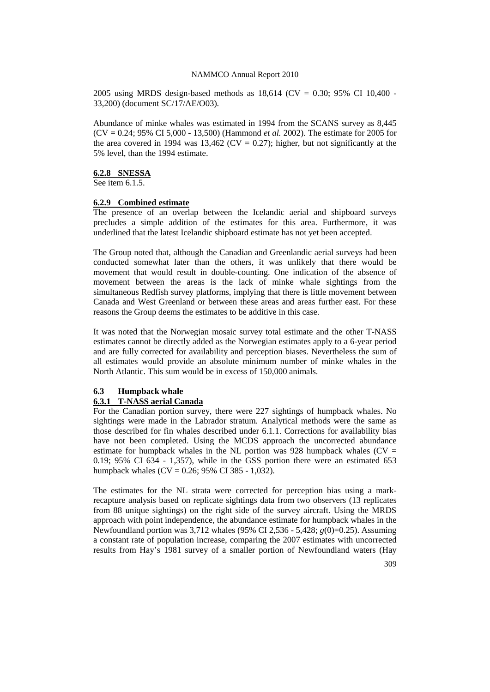2005 using MRDS design-based methods as  $18,614$  (CV = 0.30; 95% CI 10,400 -33,200) (document SC/17/AE/O03).

Abundance of minke whales was estimated in 1994 from the SCANS survey as 8,445 (CV = 0.24; 95% CI 5,000 - 13,500) (Hammond *et al.* 2002). The estimate for 2005 for the area covered in 1994 was 13,462 (CV = 0.27); higher, but not significantly at the 5% level, than the 1994 estimate.

#### **6.2.8 SNESSA**

See item 6.1.5.

#### **6.2.9 Combined estimate**

The presence of an overlap between the Icelandic aerial and shipboard surveys precludes a simple addition of the estimates for this area. Furthermore, it was underlined that the latest Icelandic shipboard estimate has not yet been accepted.

The Group noted that, although the Canadian and Greenlandic aerial surveys had been conducted somewhat later than the others, it was unlikely that there would be movement that would result in double-counting. One indication of the absence of movement between the areas is the lack of minke whale sightings from the simultaneous Redfish survey platforms, implying that there is little movement between Canada and West Greenland or between these areas and areas further east. For these reasons the Group deems the estimates to be additive in this case.

It was noted that the Norwegian mosaic survey total estimate and the other T-NASS estimates cannot be directly added as the Norwegian estimates apply to a 6-year period and are fully corrected for availability and perception biases. Nevertheless the sum of all estimates would provide an absolute minimum number of minke whales in the North Atlantic. This sum would be in excess of 150,000 animals.

#### **6.3 Humpback whale**

#### **6.3.1 T-NASS aerial Canada**

For the Canadian portion survey, there were 227 sightings of humpback whales. No sightings were made in the Labrador stratum. Analytical methods were the same as those described for fin whales described under 6.1.1. Corrections for availability bias have not been completed. Using the MCDS approach the uncorrected abundance estimate for humpback whales in the NL portion was 928 humpback whales ( $CV =$ 0.19; 95% CI 634 - 1,357), while in the GSS portion there were an estimated 653 humpback whales  $(CV = 0.26; 95\% \text{ CI } 385 - 1.032$ ).

The estimates for the NL strata were corrected for perception bias using a markrecapture analysis based on replicate sightings data from two observers (13 replicates from 88 unique sightings) on the right side of the survey aircraft. Using the MRDS approach with point independence, the abundance estimate for humpback whales in the Newfoundland portion was 3,712 whales (95% CI 2,536 - 5,428; *g*(0)=0.25). Assuming a constant rate of population increase, comparing the 2007 estimates with uncorrected results from Hay's 1981 survey of a smaller portion of Newfoundland waters (Hay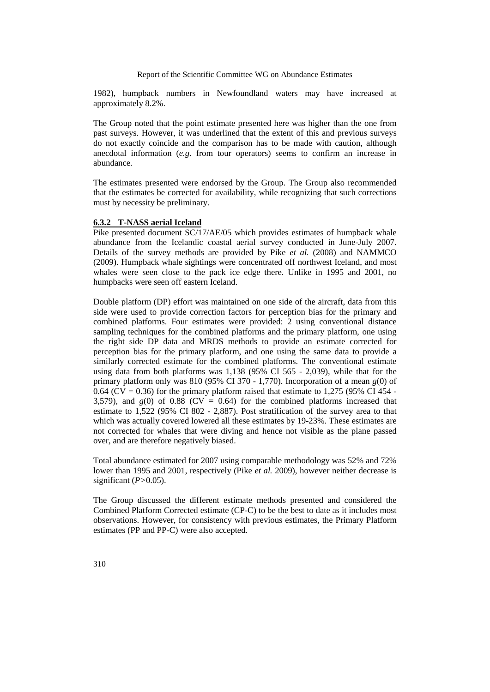1982), humpback numbers in Newfoundland waters may have increased at approximately 8.2%.

The Group noted that the point estimate presented here was higher than the one from past surveys. However, it was underlined that the extent of this and previous surveys do not exactly coincide and the comparison has to be made with caution, although anecdotal information (*e.g*. from tour operators) seems to confirm an increase in abundance.

The estimates presented were endorsed by the Group. The Group also recommended that the estimates be corrected for availability, while recognizing that such corrections must by necessity be preliminary.

#### **6.3.2 T-NASS aerial Iceland**

Pike presented document SC/17/AE/05 which provides estimates of humpback whale abundance from the Icelandic coastal aerial survey conducted in June-July 2007. Details of the survey methods are provided by Pike *et al.* (2008) and NAMMCO (2009). Humpback whale sightings were concentrated off northwest Iceland, and most whales were seen close to the pack ice edge there. Unlike in 1995 and 2001, no humpbacks were seen off eastern Iceland.

Double platform (DP) effort was maintained on one side of the aircraft, data from this side were used to provide correction factors for perception bias for the primary and combined platforms. Four estimates were provided: 2 using conventional distance sampling techniques for the combined platforms and the primary platform, one using the right side DP data and MRDS methods to provide an estimate corrected for perception bias for the primary platform, and one using the same data to provide a similarly corrected estimate for the combined platforms. The conventional estimate using data from both platforms was 1,138 (95% CI 565 - 2,039), while that for the primary platform only was 810 (95% CI 370 - 1,770). Incorporation of a mean *g*(0) of 0.64 ( $CV = 0.36$ ) for the primary platform raised that estimate to 1,275 (95% CI 454 -3,579), and  $g(0)$  of 0.88 (CV = 0.64) for the combined platforms increased that estimate to 1,522 (95% CI 802 - 2,887). Post stratification of the survey area to that which was actually covered lowered all these estimates by 19-23%. These estimates are not corrected for whales that were diving and hence not visible as the plane passed over, and are therefore negatively biased.

Total abundance estimated for 2007 using comparable methodology was 52% and 72% lower than 1995 and 2001, respectively (Pike *et al.* 2009), however neither decrease is significant (*P>*0.05).

The Group discussed the different estimate methods presented and considered the Combined Platform Corrected estimate (CP-C) to be the best to date as it includes most observations. However, for consistency with previous estimates, the Primary Platform estimates (PP and PP-C) were also accepted.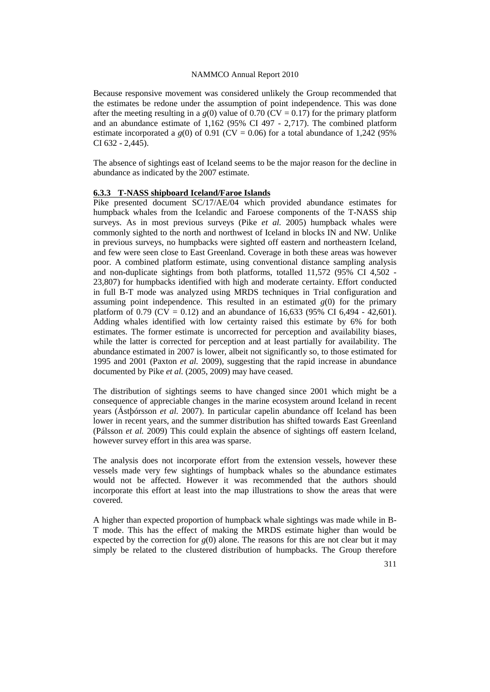Because responsive movement was considered unlikely the Group recommended that the estimates be redone under the assumption of point independence. This was done after the meeting resulting in a  $g(0)$  value of 0.70 (CV = 0.17) for the primary platform and an abundance estimate of 1,162 (95% CI 497 - 2,717). The combined platform estimate incorporated a  $g(0)$  of 0.91 (CV = 0.06) for a total abundance of 1,242 (95%) CI 632 - 2,445).

The absence of sightings east of Iceland seems to be the major reason for the decline in abundance as indicated by the 2007 estimate.

#### **6.3.3 T-NASS shipboard Iceland/Faroe Islands**

Pike presented document SC/17/AE/04 which provided abundance estimates for humpback whales from the Icelandic and Faroese components of the T-NASS ship surveys. As in most previous surveys (Pike *et al.* 2005) humpback whales were commonly sighted to the north and northwest of Iceland in blocks IN and NW. Unlike in previous surveys, no humpbacks were sighted off eastern and northeastern Iceland, and few were seen close to East Greenland. Coverage in both these areas was however poor. A combined platform estimate, using conventional distance sampling analysis and non-duplicate sightings from both platforms, totalled 11,572 (95% CI 4,502 - 23,807) for humpbacks identified with high and moderate certainty. Effort conducted in full B-T mode was analyzed using MRDS techniques in Trial configuration and assuming point independence. This resulted in an estimated  $g(0)$  for the primary platform of 0.79 (CV = 0.12) and an abundance of 16,633 (95% CI 6,494 - 42,601). Adding whales identified with low certainty raised this estimate by 6% for both estimates. The former estimate is uncorrected for perception and availability biases, while the latter is corrected for perception and at least partially for availability. The abundance estimated in 2007 is lower, albeit not significantly so, to those estimated for 1995 and 2001 (Paxton *et al.* 2009), suggesting that the rapid increase in abundance documented by Pike *et al.* (2005, 2009) may have ceased.

The distribution of sightings seems to have changed since 2001 which might be a consequence of appreciable changes in the marine ecosystem around Iceland in recent years (Ástþórsson *et al.* 2007). In particular capelin abundance off Iceland has been lower in recent years, and the summer distribution has shifted towards East Greenland (Pálsson *et al.* 2009) This could explain the absence of sightings off eastern Iceland, however survey effort in this area was sparse.

The analysis does not incorporate effort from the extension vessels, however these vessels made very few sightings of humpback whales so the abundance estimates would not be affected. However it was recommended that the authors should incorporate this effort at least into the map illustrations to show the areas that were covered.

A higher than expected proportion of humpback whale sightings was made while in B-T mode. This has the effect of making the MRDS estimate higher than would be expected by the correction for  $g(0)$  alone. The reasons for this are not clear but it may simply be related to the clustered distribution of humpbacks. The Group therefore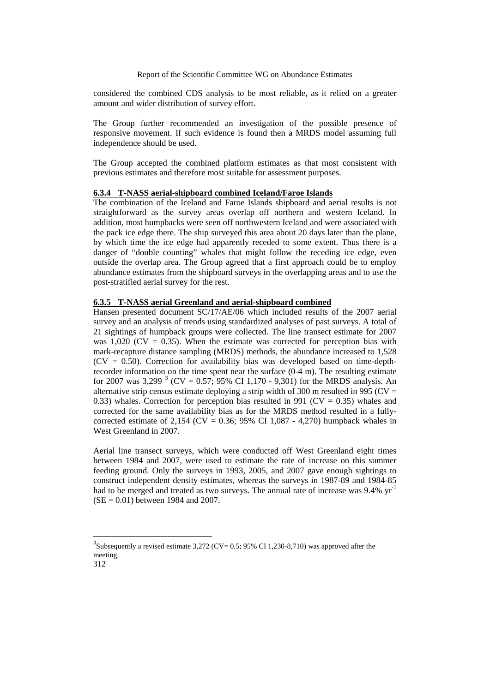considered the combined CDS analysis to be most reliable, as it relied on a greater amount and wider distribution of survey effort.

The Group further recommended an investigation of the possible presence of responsive movement. If such evidence is found then a MRDS model assuming full independence should be used.

The Group accepted the combined platform estimates as that most consistent with previous estimates and therefore most suitable for assessment purposes.

#### **6.3.4 T-NASS aerial-shipboard combined Iceland/Faroe Islands**

The combination of the Iceland and Faroe Islands shipboard and aerial results is not straightforward as the survey areas overlap off northern and western Iceland. In addition, most humpbacks were seen off northwestern Iceland and were associated with the pack ice edge there. The ship surveyed this area about 20 days later than the plane, by which time the ice edge had apparently receded to some extent. Thus there is a danger of "double counting" whales that might follow the receding ice edge, even outside the overlap area. The Group agreed that a first approach could be to employ abundance estimates from the shipboard surveys in the overlapping areas and to use the post-stratified aerial survey for the rest.

#### **6.3.5 T-NASS aerial Greenland and aerial-shipboard combined**

Hansen presented document SC/17/AE/06 which included results of the 2007 aerial survey and an analysis of trends using standardized analyses of past surveys. A total of 21 sightings of humpback groups were collected. The line transect estimate for 2007 was  $1,020$  (CV = 0.35). When the estimate was corrected for perception bias with mark-recapture distance sampling (MRDS) methods, the abundance increased to 1,528  $(CV = 0.50)$ . Correction for availability bias was developed based on time-depthrecorder information on the time spent near the surface (0-4 m). The resulting estimate for 2007 was [3](#page-13-0),299  $3$  (CV = 0.57; 95% CI 1,170 - 9,301) for the MRDS analysis. An alternative strip census estimate deploying a strip width of 300 m resulted in 995 ( $CV =$ 0.33) whales. Correction for perception bias resulted in 991 (CV = 0.35) whales and corrected for the same availability bias as for the MRDS method resulted in a fullycorrected estimate of 2,154 (CV = 0.36; 95% CI 1,087 - 4,270) humpback whales in West Greenland in 2007.

Aerial line transect surveys, which were conducted off West Greenland eight times between 1984 and 2007, were used to estimate the rate of increase on this summer feeding ground. Only the surveys in 1993, 2005, and 2007 gave enough sightings to construct independent density estimates, whereas the surveys in 1987-89 and 1984-85 had to be merged and treated as two surveys. The annual rate of increase was 9.4% yr<sup>-1</sup>  $(SE = 0.01)$  between 1984 and 2007.

<span id="page-13-0"></span> <sup>3</sup> <sup>3</sup>Subsequently a revised estimate 3,272 (CV= 0.5; 95% CI 1,230-8,710) was approved after the meeting.

<sup>312</sup>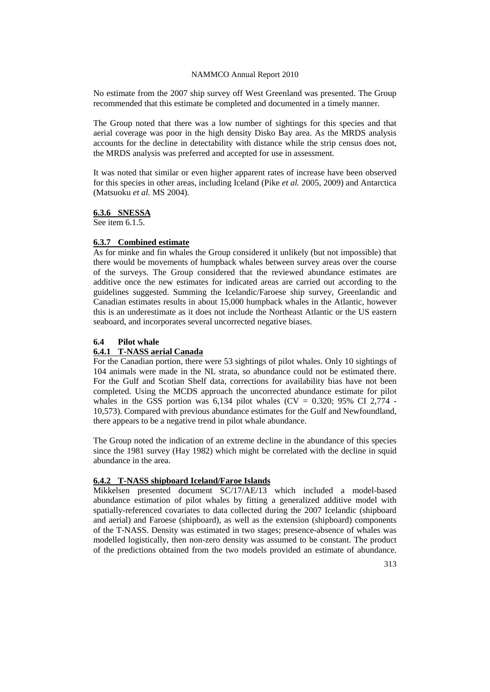No estimate from the 2007 ship survey off West Greenland was presented. The Group recommended that this estimate be completed and documented in a timely manner.

The Group noted that there was a low number of sightings for this species and that aerial coverage was poor in the high density Disko Bay area. As the MRDS analysis accounts for the decline in detectability with distance while the strip census does not, the MRDS analysis was preferred and accepted for use in assessment.

It was noted that similar or even higher apparent rates of increase have been observed for this species in other areas, including Iceland (Pike *et al.* 2005, 2009) and Antarctica (Matsuoku *et al.* MS 2004).

### **6.3.6 SNESSA**

See item 6.1.5.

# **6.3.7 Combined estimate**

As for minke and fin whales the Group considered it unlikely (but not impossible) that there would be movements of humpback whales between survey areas over the course of the surveys. The Group considered that the reviewed abundance estimates are additive once the new estimates for indicated areas are carried out according to the guidelines suggested. Summing the Icelandic/Faroese ship survey, Greenlandic and Canadian estimates results in about 15,000 humpback whales in the Atlantic, however this is an underestimate as it does not include the Northeast Atlantic or the US eastern seaboard, and incorporates several uncorrected negative biases.

# **6.4 Pilot whale**

# **6.4.1 T-NASS aerial Canada**

For the Canadian portion, there were 53 sightings of pilot whales. Only 10 sightings of 104 animals were made in the NL strata, so abundance could not be estimated there. For the Gulf and Scotian Shelf data, corrections for availability bias have not been completed. Using the MCDS approach the uncorrected abundance estimate for pilot whales in the GSS portion was 6,134 pilot whales  $(CV = 0.320; 95\% \text{ CI } 2.774$ . 10,573). Compared with previous abundance estimates for the Gulf and Newfoundland, there appears to be a negative trend in pilot whale abundance.

The Group noted the indication of an extreme decline in the abundance of this species since the 1981 survey (Hay 1982) which might be correlated with the decline in squid abundance in the area.

# **6.4.2 T-NASS shipboard Iceland/Faroe Islands**

Mikkelsen presented document SC/17/AE/13 which included a model-based abundance estimation of pilot whales by fitting a generalized additive model with spatially-referenced covariates to data collected during the 2007 Icelandic (shipboard and aerial) and Faroese (shipboard), as well as the extension (shipboard) components of the T-NASS. Density was estimated in two stages; presence-absence of whales was modelled logistically, then non-zero density was assumed to be constant. The product of the predictions obtained from the two models provided an estimate of abundance.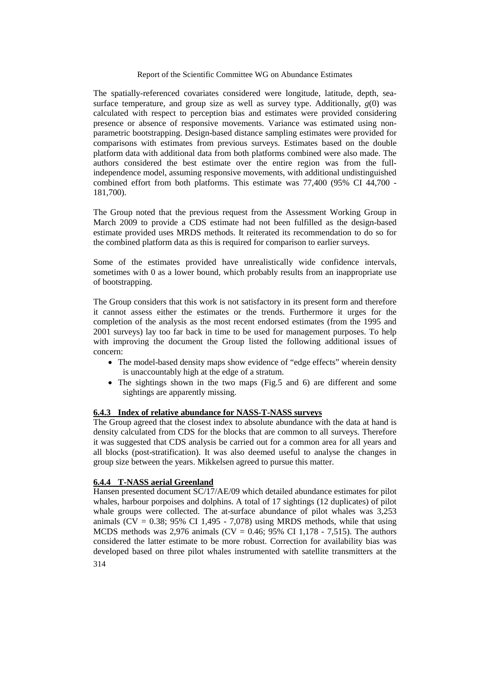The spatially-referenced covariates considered were longitude, latitude, depth, seasurface temperature, and group size as well as survey type. Additionally,  $g(0)$  was calculated with respect to perception bias and estimates were provided considering presence or absence of responsive movements. Variance was estimated using nonparametric bootstrapping. Design-based distance sampling estimates were provided for comparisons with estimates from previous surveys. Estimates based on the double platform data with additional data from both platforms combined were also made. The authors considered the best estimate over the entire region was from the fullindependence model, assuming responsive movements, with additional undistinguished combined effort from both platforms. This estimate was 77,400 (95% CI 44,700 - 181,700).

The Group noted that the previous request from the Assessment Working Group in March 2009 to provide a CDS estimate had not been fulfilled as the design-based estimate provided uses MRDS methods. It reiterated its recommendation to do so for the combined platform data as this is required for comparison to earlier surveys.

Some of the estimates provided have unrealistically wide confidence intervals, sometimes with 0 as a lower bound, which probably results from an inappropriate use of bootstrapping.

The Group considers that this work is not satisfactory in its present form and therefore it cannot assess either the estimates or the trends. Furthermore it urges for the completion of the analysis as the most recent endorsed estimates (from the 1995 and 2001 surveys) lay too far back in time to be used for management purposes. To help with improving the document the Group listed the following additional issues of concern:

- The model-based density maps show evidence of "edge effects" wherein density is unaccountably high at the edge of a stratum.
- The sightings shown in the two maps (Fig.5 and 6) are different and some sightings are apparently missing.

#### **6.4.3 Index of relative abundance for NASS-T-NASS surveys**

The Group agreed that the closest index to absolute abundance with the data at hand is density calculated from CDS for the blocks that are common to all surveys. Therefore it was suggested that CDS analysis be carried out for a common area for all years and all blocks (post-stratification). It was also deemed useful to analyse the changes in group size between the years. Mikkelsen agreed to pursue this matter.

### **6.4.4 T-NASS aerial Greenland**

314 Hansen presented document SC/17/AE/09 which detailed abundance estimates for pilot whales, harbour porpoises and dolphins. A total of 17 sightings (12 duplicates) of pilot whale groups were collected. The at-surface abundance of pilot whales was 3,253 animals (CV =  $0.38$ ;  $95\%$  CI 1,495 - 7,078) using MRDS methods, while that using MCDS methods was 2,976 animals (CV = 0.46;  $95\%$  CI 1,178 - 7,515). The authors considered the latter estimate to be more robust. Correction for availability bias was developed based on three pilot whales instrumented with satellite transmitters at the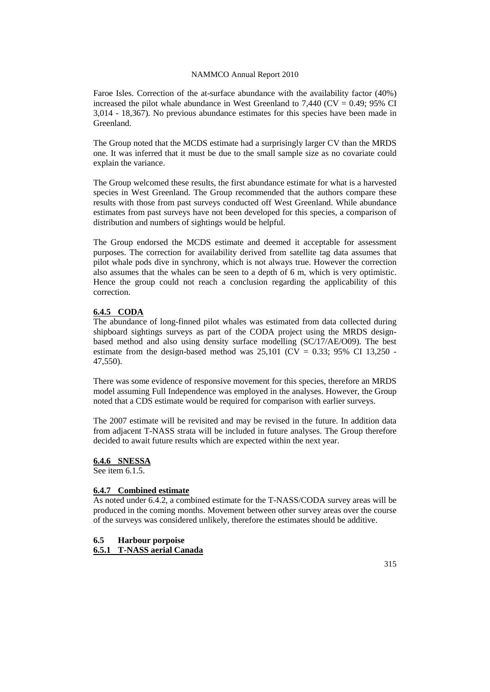Faroe Isles. Correction of the at-surface abundance with the availability factor (40%) increased the pilot whale abundance in West Greenland to  $7,440$  (CV = 0.49; 95% CI 3,014 - 18,367). No previous abundance estimates for this species have been made in Greenland.

The Group noted that the MCDS estimate had a surprisingly larger CV than the MRDS one. It was inferred that it must be due to the small sample size as no covariate could explain the variance.

The Group welcomed these results, the first abundance estimate for what is a harvested species in West Greenland. The Group recommended that the authors compare these results with those from past surveys conducted off West Greenland. While abundance estimates from past surveys have not been developed for this species, a comparison of distribution and numbers of sightings would be helpful.

The Group endorsed the MCDS estimate and deemed it acceptable for assessment purposes. The correction for availability derived from satellite tag data assumes that pilot whale pods dive in synchrony, which is not always true. However the correction also assumes that the whales can be seen to a depth of 6 m, which is very optimistic. Hence the group could not reach a conclusion regarding the applicability of this correction.

# **6.4.5 CODA**

The abundance of long-finned pilot whales was estimated from data collected during shipboard sightings surveys as part of the CODA project using the MRDS designbased method and also using density surface modelling (SC/17/AE/O09). The best estimate from the design-based method was  $25,101$  (CV = 0.33; 95% CI 13,250 -47,550).

There was some evidence of responsive movement for this species, therefore an MRDS model assuming Full Independence was employed in the analyses. However, the Group noted that a CDS estimate would be required for comparison with earlier surveys.

The 2007 estimate will be revisited and may be revised in the future. In addition data from adjacent T-NASS strata will be included in future analyses. The Group therefore decided to await future results which are expected within the next year.

**6.4.6 SNESSA**

See item 6.1.5.

## **6.4.7 Combined estimate**

As noted under 6.4.2, a combined estimate for the T-NASS/CODA survey areas will be produced in the coming months. Movement between other survey areas over the course of the surveys was considered unlikely, therefore the estimates should be additive.

**6.5 Harbour porpoise**

**6.5.1 T-NASS aerial Canada**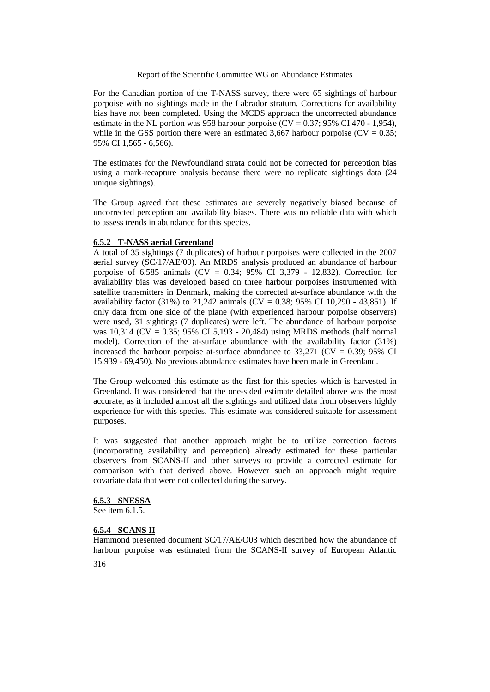For the Canadian portion of the T-NASS survey, there were 65 sightings of harbour porpoise with no sightings made in the Labrador stratum. Corrections for availability bias have not been completed. Using the MCDS approach the uncorrected abundance estimate in the NL portion was 958 harbour porpoise ( $CV = 0.37$ ; 95% CI 470 - 1,954), while in the GSS portion there were an estimated 3,667 harbour porpoise ( $CV = 0.35$ ; 95% CI 1,565 - 6,566).

The estimates for the Newfoundland strata could not be corrected for perception bias using a mark-recapture analysis because there were no replicate sightings data (24 unique sightings).

The Group agreed that these estimates are severely negatively biased because of uncorrected perception and availability biases. There was no reliable data with which to assess trends in abundance for this species.

### **6.5.2 T-NASS aerial Greenland**

A total of 35 sightings (7 duplicates) of harbour porpoises were collected in the 2007 aerial survey (SC/17/AE/09). An MRDS analysis produced an abundance of harbour porpoise of 6,585 animals (CV = 0.34;  $95\%$  CI 3,379 - 12,832). Correction for availability bias was developed based on three harbour porpoises instrumented with satellite transmitters in Denmark, making the corrected at-surface abundance with the availability factor  $(31\%)$  to 21,242 animals  $(CV = 0.38; 95\% \text{ CI } 10,290 - 43,851)$ . If only data from one side of the plane (with experienced harbour porpoise observers) were used, 31 sightings (7 duplicates) were left. The abundance of harbour porpoise was 10,314 ( $CV = 0.35$ ; 95% CI 5,193 - 20,484) using MRDS methods (half normal model). Correction of the at-surface abundance with the availability factor (31%) increased the harbour porpoise at-surface abundance to  $33,271$  (CV = 0.39; 95% CI 15,939 - 69,450). No previous abundance estimates have been made in Greenland.

The Group welcomed this estimate as the first for this species which is harvested in Greenland. It was considered that the one-sided estimate detailed above was the most accurate, as it included almost all the sightings and utilized data from observers highly experience for with this species. This estimate was considered suitable for assessment purposes.

It was suggested that another approach might be to utilize correction factors (incorporating availability and perception) already estimated for these particular observers from SCANS-II and other surveys to provide a corrected estimate for comparison with that derived above. However such an approach might require covariate data that were not collected during the survey.

#### **6.5.3 SNESSA**

See item  $6.1.5$ .

### **6.5.4 SCANS II**

Hammond presented document SC/17/AE/O03 which described how the abundance of harbour porpoise was estimated from the SCANS-II survey of European Atlantic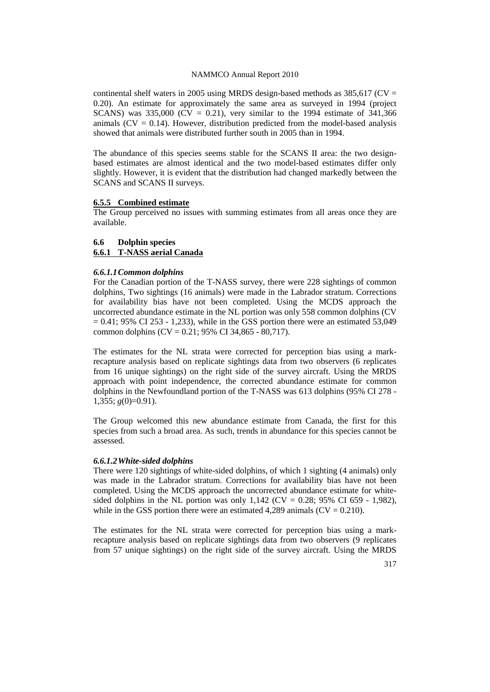continental shelf waters in 2005 using MRDS design-based methods as  $385,617$  (CV = 0.20). An estimate for approximately the same area as surveyed in 1994 (project SCANS) was  $335,000$  (CV = 0.21), very similar to the 1994 estimate of 341,366 animals ( $CV = 0.14$ ). However, distribution predicted from the model-based analysis showed that animals were distributed further south in 2005 than in 1994.

The abundance of this species seems stable for the SCANS II area: the two designbased estimates are almost identical and the two model-based estimates differ only slightly. However, it is evident that the distribution had changed markedly between the SCANS and SCANS II surveys.

#### **6.5.5 Combined estimate**

The Group perceived no issues with summing estimates from all areas once they are available.

#### **6.6 Dolphin species**

### **6.6.1 T-NASS aerial Canada**

#### *6.6.1.1Common dolphins*

For the Canadian portion of the T-NASS survey, there were 228 sightings of common dolphins, Two sightings (16 animals) were made in the Labrador stratum. Corrections for availability bias have not been completed. Using the MCDS approach the uncorrected abundance estimate in the NL portion was only 558 common dolphins (CV  $= 0.41$ ; 95% CI 253 - 1,233), while in the GSS portion there were an estimated 53,049 common dolphins (CV =  $0.21$ ; 95% CI 34,865 - 80,717).

The estimates for the NL strata were corrected for perception bias using a markrecapture analysis based on replicate sightings data from two observers (6 replicates from 16 unique sightings) on the right side of the survey aircraft. Using the MRDS approach with point independence, the corrected abundance estimate for common dolphins in the Newfoundland portion of the T-NASS was 613 dolphins (95% CI 278 - 1,355;  $g(0)=0.91$ ).

The Group welcomed this new abundance estimate from Canada, the first for this species from such a broad area. As such, trends in abundance for this species cannot be assessed.

#### *6.6.1.2White-sided dolphins*

There were 120 sightings of white-sided dolphins, of which 1 sighting (4 animals) only was made in the Labrador stratum. Corrections for availability bias have not been completed. Using the MCDS approach the uncorrected abundance estimate for whitesided dolphins in the NL portion was only  $1,142$  (CV = 0.28; 95% CI 659 - 1,982), while in the GSS portion there were an estimated 4,289 animals ( $CV = 0.210$ ).

The estimates for the NL strata were corrected for perception bias using a markrecapture analysis based on replicate sightings data from two observers (9 replicates from 57 unique sightings) on the right side of the survey aircraft. Using the MRDS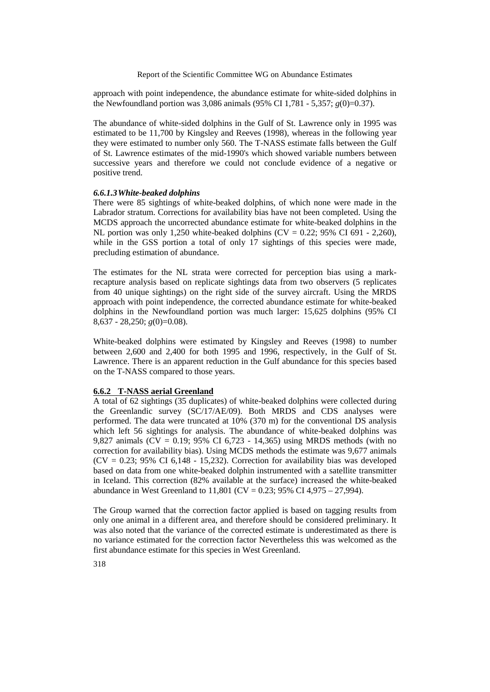approach with point independence, the abundance estimate for white-sided dolphins in the Newfoundland portion was 3,086 animals (95% CI 1,781 - 5,357; *g*(0)=0.37).

The abundance of white-sided dolphins in the Gulf of St. Lawrence only in 1995 was estimated to be 11,700 by Kingsley and Reeves (1998), whereas in the following year they were estimated to number only 560. The T-NASS estimate falls between the Gulf of St. Lawrence estimates of the mid-1990's which showed variable numbers between successive years and therefore we could not conclude evidence of a negative or positive trend.

#### *6.6.1.3White-beaked dolphins*

There were 85 sightings of white-beaked dolphins, of which none were made in the Labrador stratum. Corrections for availability bias have not been completed. Using the MCDS approach the uncorrected abundance estimate for white-beaked dolphins in the NL portion was only 1,250 white-beaked dolphins (CV =  $0.22$ ; 95% CI 691 - 2,260), while in the GSS portion a total of only 17 sightings of this species were made, precluding estimation of abundance.

The estimates for the NL strata were corrected for perception bias using a markrecapture analysis based on replicate sightings data from two observers (5 replicates from 40 unique sightings) on the right side of the survey aircraft. Using the MRDS approach with point independence, the corrected abundance estimate for white-beaked dolphins in the Newfoundland portion was much larger: 15,625 dolphins (95% CI 8,637 - 28,250; *g*(0)=0.08).

White-beaked dolphins were estimated by Kingsley and Reeves (1998) to number between 2,600 and 2,400 for both 1995 and 1996, respectively, in the Gulf of St. Lawrence. There is an apparent reduction in the Gulf abundance for this species based on the T-NASS compared to those years.

### **6.6.2 T-NASS aerial Greenland**

A total of 62 sightings (35 duplicates) of white-beaked dolphins were collected during the Greenlandic survey (SC/17/AE/09). Both MRDS and CDS analyses were performed. The data were truncated at 10% (370 m) for the conventional DS analysis which left 56 sightings for analysis. The abundance of white-beaked dolphins was 9,827 animals (CV = 0.19; 95% CI 6,723 - 14,365) using MRDS methods (with no correction for availability bias). Using MCDS methods the estimate was 9,677 animals  $(CV = 0.23; 95\% \text{ CI } 6,148 - 15,232)$ . Correction for availability bias was developed based on data from one white-beaked dolphin instrumented with a satellite transmitter in Iceland. This correction (82% available at the surface) increased the white-beaked abundance in West Greenland to  $11,801$  (CV = 0.23; 95% CI 4,975 – 27,994).

The Group warned that the correction factor applied is based on tagging results from only one animal in a different area, and therefore should be considered preliminary. It was also noted that the variance of the corrected estimate is underestimated as there is no variance estimated for the correction factor Nevertheless this was welcomed as the first abundance estimate for this species in West Greenland.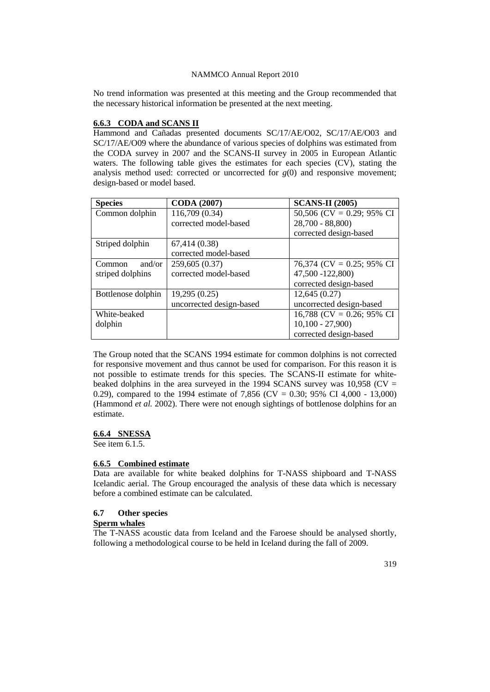No trend information was presented at this meeting and the Group recommended that the necessary historical information be presented at the next meeting.

# **6.6.3 CODA and SCANS II**

Hammond and Cañadas presented documents SC/17/AE/O02, SC/17/AE/O03 and SC/17/AE/O09 where the abundance of various species of dolphins was estimated from the CODA survey in 2007 and the SCANS-II survey in 2005 in European Atlantic waters. The following table gives the estimates for each species (CV), stating the analysis method used: corrected or uncorrected for  $g(0)$  and responsive movement; design-based or model based.

| <b>Species</b>          | <b>CODA</b> (2007)       | <b>SCANS-II</b> (2005)    |
|-------------------------|--------------------------|---------------------------|
| Common dolphin          | 116,709 (0.34)           | 50,506 (CV = 0.29; 95% CI |
|                         | corrected model-based    | $28,700 - 88,800$         |
|                         |                          | corrected design-based    |
| Striped dolphin         | 67,414 (0.38)            |                           |
|                         | corrected model-based    |                           |
| and/or<br><b>Common</b> | 259,605 (0.37)           | 76,374 (CV = 0.25; 95% CI |
| striped dolphins        | corrected model-based    | 47,500 -122,800)          |
|                         |                          | corrected design-based    |
| Bottlenose dolphin      | 19,295 (0.25)            | 12,645(0.27)              |
|                         | uncorrected design-based | uncorrected design-based  |
| White-beaked            |                          | 16,788 (CV = 0.26; 95% CI |
| dolphin                 |                          | $10,100 - 27,900$         |
|                         |                          | corrected design-based    |

The Group noted that the SCANS 1994 estimate for common dolphins is not corrected for responsive movement and thus cannot be used for comparison. For this reason it is not possible to estimate trends for this species. The SCANS-II estimate for whitebeaked dolphins in the area surveyed in the 1994 SCANS survey was  $10,958$  (CV = 0.29), compared to the 1994 estimate of 7,856 (CV = 0.30; 95% CI 4,000 - 13,000) (Hammond *et al.* 2002). There were not enough sightings of bottlenose dolphins for an estimate.

### **6.6.4 SNESSA**

See item 6.1.5.

#### **6.6.5 Combined estimate**

Data are available for white beaked dolphins for T-NASS shipboard and T-NASS Icelandic aerial. The Group encouraged the analysis of these data which is necessary before a combined estimate can be calculated.

#### **6.7 Other species**

# **Sperm whales**

The T-NASS acoustic data from Iceland and the Faroese should be analysed shortly, following a methodological course to be held in Iceland during the fall of 2009.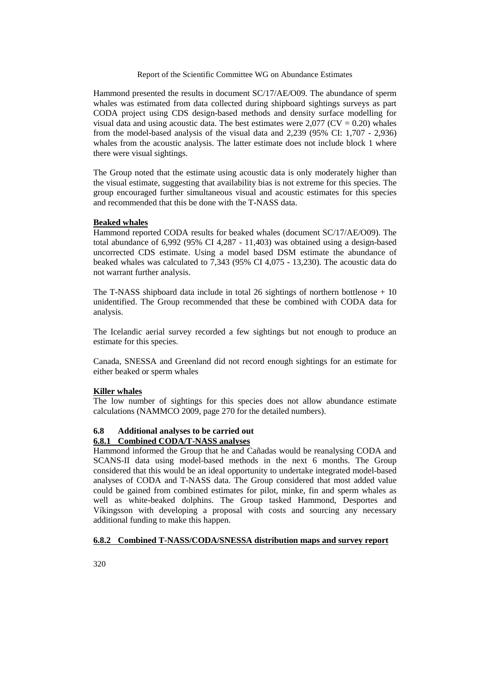Hammond presented the results in document SC/17/AE/O09. The abundance of sperm whales was estimated from data collected during shipboard sightings surveys as part CODA project using CDS design-based methods and density surface modelling for visual data and using acoustic data. The best estimates were  $2,077$  (CV = 0.20) whales from the model-based analysis of the visual data and 2,239 (95% CI: 1,707 - 2,936) whales from the acoustic analysis. The latter estimate does not include block 1 where there were visual sightings.

The Group noted that the estimate using acoustic data is only moderately higher than the visual estimate, suggesting that availability bias is not extreme for this species. The group encouraged further simultaneous visual and acoustic estimates for this species and recommended that this be done with the T-NASS data.

# **Beaked whales**

Hammond reported CODA results for beaked whales (document SC/17/AE/O09). The total abundance of 6,992 (95% CI 4,287 - 11,403) was obtained using a design-based uncorrected CDS estimate. Using a model based DSM estimate the abundance of beaked whales was calculated to 7,343 (95% CI 4,075 - 13,230). The acoustic data do not warrant further analysis.

The T-NASS shipboard data include in total 26 sightings of northern bottlenose  $+10$ unidentified. The Group recommended that these be combined with CODA data for analysis.

The Icelandic aerial survey recorded a few sightings but not enough to produce an estimate for this species.

Canada, SNESSA and Greenland did not record enough sightings for an estimate for either beaked or sperm whales

### **Killer whales**

The low number of sightings for this species does not allow abundance estimate calculations (NAMMCO 2009, page 270 for the detailed numbers).

### **6.8 Additional analyses to be carried out 6.8.1 Combined CODA/T-NASS analyses**

Hammond informed the Group that he and Cañadas would be reanalysing CODA and SCANS-II data using model-based methods in the next 6 months. The Group considered that this would be an ideal opportunity to undertake integrated model-based analyses of CODA and T-NASS data. The Group considered that most added value could be gained from combined estimates for pilot, minke, fin and sperm whales as well as white-beaked dolphins. The Group tasked Hammond, Desportes and Víkingsson with developing a proposal with costs and sourcing any necessary additional funding to make this happen.

# **6.8.2 Combined T-NASS/CODA/SNESSA distribution maps and survey report**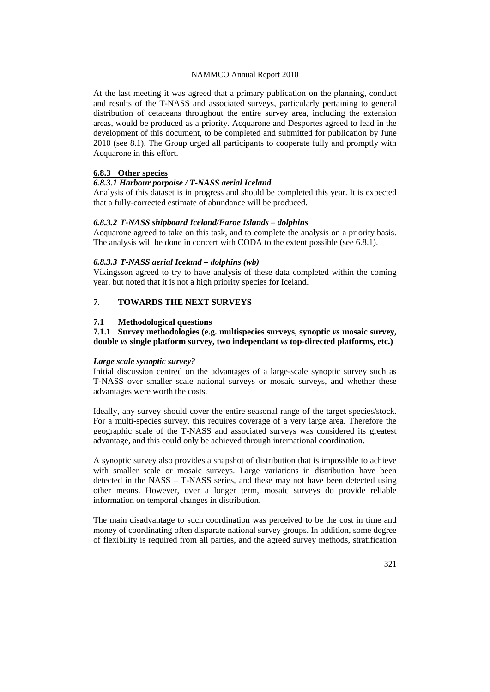At the last meeting it was agreed that a primary publication on the planning, conduct and results of the T-NASS and associated surveys, particularly pertaining to general distribution of cetaceans throughout the entire survey area, including the extension areas, would be produced as a priority. Acquarone and Desportes agreed to lead in the development of this document, to be completed and submitted for publication by June 2010 (see 8.1). The Group urged all participants to cooperate fully and promptly with Acquarone in this effort.

# **6.8.3 Other species**

### *6.8.3.1 Harbour porpoise / T-NASS aerial Iceland*

Analysis of this dataset is in progress and should be completed this year. It is expected that a fully-corrected estimate of abundance will be produced.

# *6.8.3.2 T-NASS shipboard Iceland/Faroe Islands – dolphins*

Acquarone agreed to take on this task, and to complete the analysis on a priority basis. The analysis will be done in concert with CODA to the extent possible (see 6.8.1).

#### *6.8.3.3 T-NASS aerial Iceland – dolphins (wb)*

Víkingsson agreed to try to have analysis of these data completed within the coming year, but noted that it is not a high priority species for Iceland.

# **7. TOWARDS THE NEXT SURVEYS**

### **7.1 Methodological questions**

# **7.1.1 Survey methodologies (e.g. multispecies surveys, synoptic** *vs* **mosaic survey, double** *vs* **single platform survey, two independant** *vs* **top-directed platforms, etc.)**

#### *Large scale synoptic survey?*

Initial discussion centred on the advantages of a large-scale synoptic survey such as T-NASS over smaller scale national surveys or mosaic surveys, and whether these advantages were worth the costs.

Ideally, any survey should cover the entire seasonal range of the target species/stock. For a multi-species survey, this requires coverage of a very large area. Therefore the geographic scale of the T-NASS and associated surveys was considered its greatest advantage, and this could only be achieved through international coordination.

A synoptic survey also provides a snapshot of distribution that is impossible to achieve with smaller scale or mosaic surveys. Large variations in distribution have been detected in the NASS – T-NASS series, and these may not have been detected using other means. However, over a longer term, mosaic surveys do provide reliable information on temporal changes in distribution.

The main disadvantage to such coordination was perceived to be the cost in time and money of coordinating often disparate national survey groups. In addition, some degree of flexibility is required from all parties, and the agreed survey methods, stratification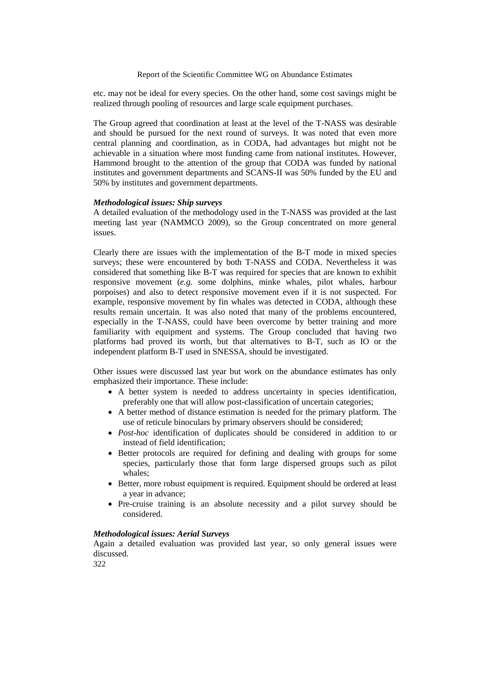etc. may not be ideal for every species. On the other hand, some cost savings might be realized through pooling of resources and large scale equipment purchases.

The Group agreed that coordination at least at the level of the T-NASS was desirable and should be pursued for the next round of surveys. It was noted that even more central planning and coordination, as in CODA, had advantages but might not be achievable in a situation where most funding came from national institutes. However, Hammond brought to the attention of the group that CODA was funded by national institutes and government departments and SCANS-II was 50% funded by the EU and 50% by institutes and government departments.

### *Methodological issues: Ship surveys*

A detailed evaluation of the methodology used in the T-NASS was provided at the last meeting last year (NAMMCO 2009), so the Group concentrated on more general issues.

Clearly there are issues with the implementation of the B-T mode in mixed species surveys; these were encountered by both T-NASS and CODA. Nevertheless it was considered that something like B-T was required for species that are known to exhibit responsive movement (*e.g.* some dolphins, minke whales, pilot whales, harbour porpoises) and also to detect responsive movement even if it is not suspected. For example, responsive movement by fin whales was detected in CODA, although these results remain uncertain. It was also noted that many of the problems encountered, especially in the T-NASS, could have been overcome by better training and more familiarity with equipment and systems. The Group concluded that having two platforms had proved its worth, but that alternatives to B-T, such as IO or the independent platform B-T used in SNESSA, should be investigated.

Other issues were discussed last year but work on the abundance estimates has only emphasized their importance. These include:

- A better system is needed to address uncertainty in species identification, preferably one that will allow post-classification of uncertain categories;
- A better method of distance estimation is needed for the primary platform. The use of reticule binoculars by primary observers should be considered;
- *Post-hoc* identification of duplicates should be considered in addition to or instead of field identification;
- Better protocols are required for defining and dealing with groups for some species, particularly those that form large dispersed groups such as pilot whales;
- Better, more robust equipment is required. Equipment should be ordered at least a year in advance;
- Pre-cruise training is an absolute necessity and a pilot survey should be considered.

### *Methodological issues: Aerial Surveys*

Again a detailed evaluation was provided last year, so only general issues were discussed.

322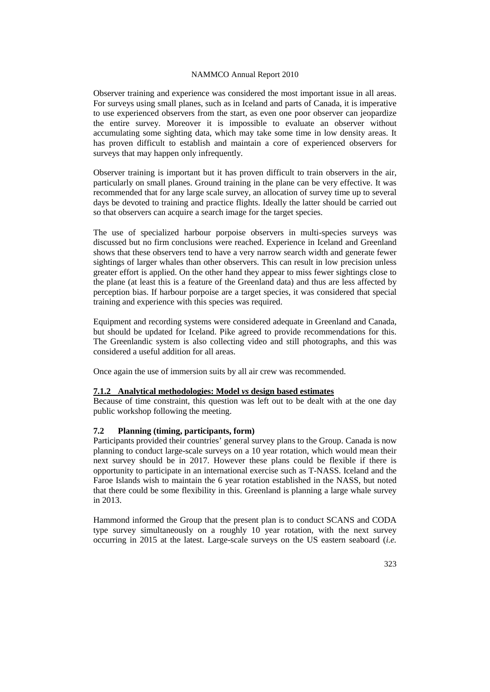Observer training and experience was considered the most important issue in all areas. For surveys using small planes, such as in Iceland and parts of Canada, it is imperative to use experienced observers from the start, as even one poor observer can jeopardize the entire survey. Moreover it is impossible to evaluate an observer without accumulating some sighting data, which may take some time in low density areas. It has proven difficult to establish and maintain a core of experienced observers for surveys that may happen only infrequently.

Observer training is important but it has proven difficult to train observers in the air, particularly on small planes. Ground training in the plane can be very effective. It was recommended that for any large scale survey, an allocation of survey time up to several days be devoted to training and practice flights. Ideally the latter should be carried out so that observers can acquire a search image for the target species.

The use of specialized harbour porpoise observers in multi-species surveys was discussed but no firm conclusions were reached. Experience in Iceland and Greenland shows that these observers tend to have a very narrow search width and generate fewer sightings of larger whales than other observers. This can result in low precision unless greater effort is applied. On the other hand they appear to miss fewer sightings close to the plane (at least this is a feature of the Greenland data) and thus are less affected by perception bias. If harbour porpoise are a target species, it was considered that special training and experience with this species was required.

Equipment and recording systems were considered adequate in Greenland and Canada, but should be updated for Iceland. Pike agreed to provide recommendations for this. The Greenlandic system is also collecting video and still photographs, and this was considered a useful addition for all areas.

Once again the use of immersion suits by all air crew was recommended.

### **7.1.2 Analytical methodologies: Model** *vs* **design based estimates**

Because of time constraint, this question was left out to be dealt with at the one day public workshop following the meeting.

#### **7.2 Planning (timing, participants, form)**

Participants provided their countries' general survey plans to the Group. Canada is now planning to conduct large-scale surveys on a 10 year rotation, which would mean their next survey should be in 2017. However these plans could be flexible if there is opportunity to participate in an international exercise such as T-NASS. Iceland and the Faroe Islands wish to maintain the 6 year rotation established in the NASS, but noted that there could be some flexibility in this. Greenland is planning a large whale survey in 2013.

Hammond informed the Group that the present plan is to conduct SCANS and CODA type survey simultaneously on a roughly 10 year rotation, with the next survey occurring in 2015 at the latest. Large-scale surveys on the US eastern seaboard (*i.e.*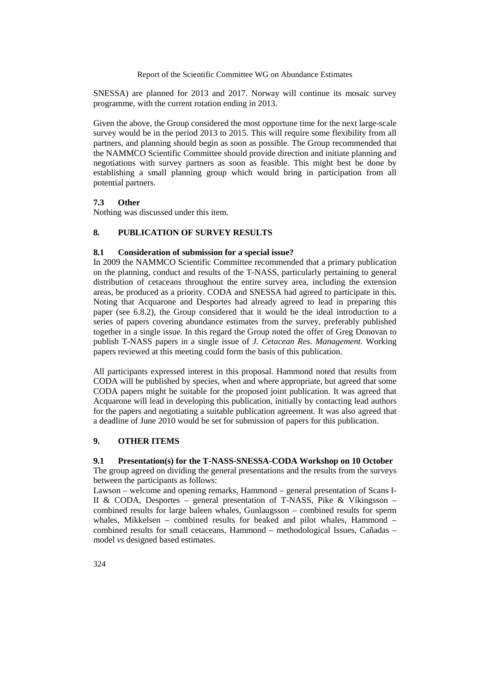SNESSA) are planned for 2013 and 2017. Norway will continue its mosaic survey programme, with the current rotation ending in 2013.

Given the above, the Group considered the most opportune time for the next large-scale survey would be in the period 2013 to 2015. This will require some flexibility from all partners, and planning should begin as soon as possible. The Group recommended that the NAMMCO Scientific Committee should provide direction and initiate planning and negotiations with survey partners as soon as feasible. This might best be done by establishing a small planning group which would bring in participation from all potential partners.

# **7.3 Other**

Nothing was discussed under this item.

# **8. PUBLICATION OF SURVEY RESULTS**

### **8.1 Consideration of submission for a special issue?**

In 2009 the NAMMCO Scientific Committee recommended that a primary publication on the planning, conduct and results of the T-NASS, particularly pertaining to general distribution of cetaceans throughout the entire survey area, including the extension areas, be produced as a priority. CODA and SNESSA had agreed to participate in this. Noting that Acquarone and Desportes had already agreed to lead in preparing this paper (see 6.8.2), the Group considered that it would be the ideal introduction to a series of papers covering abundance estimates from the survey, preferably published together in a single issue. In this regard the Group noted the offer of Greg Donovan to publish T-NASS papers in a single issue of *J. Cetacean Res. Management*. Working papers reviewed at this meeting could form the basis of this publication.

All participants expressed interest in this proposal. Hammond noted that results from CODA will be published by species, when and where appropriate, but agreed that some CODA papers might be suitable for the proposed joint publication. It was agreed that Acquarone will lead in developing this publication, initially by contacting lead authors for the papers and negotiating a suitable publication agreement. It was also agreed that a deadline of June 2010 would be set for submission of papers for this publication.

# **9. OTHER ITEMS**

### **9.1 Presentation(s) for the T-NASS-SNESSA-CODA Workshop on 10 October**

The group agreed on dividing the general presentations and the results from the surveys between the participants as follows:

Lawson – welcome and opening remarks, Hammond – general presentation of Scans I-II & CODA, Desportes – general presentation of T-NASS, Pike & Víkingsson – combined results for large baleen whales, Gunlaugsson – combined results for sperm whales, Mikkelsen – combined results for beaked and pilot whales, Hammond – combined results for small cetaceans, Hammond – methodological Issues, Cañadas – model *vs* designed based estimates.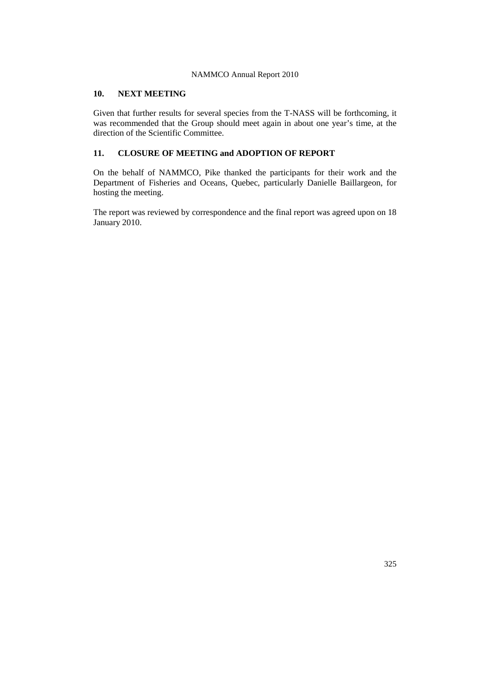# **10. NEXT MEETING**

Given that further results for several species from the T-NASS will be forthcoming, it was recommended that the Group should meet again in about one year's time, at the direction of the Scientific Committee.

# **11. CLOSURE OF MEETING and ADOPTION OF REPORT**

On the behalf of NAMMCO, Pike thanked the participants for their work and the Department of Fisheries and Oceans, Quebec, particularly Danielle Baillargeon, for hosting the meeting.

The report was reviewed by correspondence and the final report was agreed upon on 18 January 2010.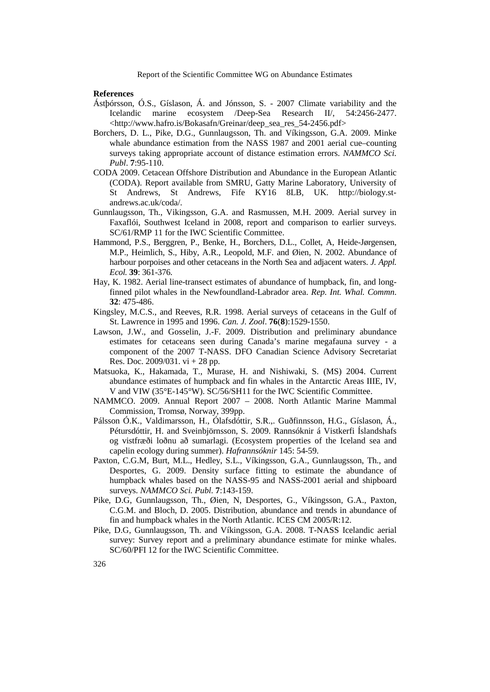#### **References**

- Ástþórsson, Ó.S., Gíslason, Á. and Jónsson, S. 2007 Climate variability and the Icelandic marine ecosystem /Deep-Sea Research II/, 54:2456-2477. [<http://www.hafro.is/Bokasafn/Greinar/deep\\_sea\\_res\\_54-2456.pdf>](http://www.hafro.is/Bokasafn/Greinar/deep_sea_res_54-2456.pdf)
- Borchers, D. L., Pike, D.G., Gunnlaugsson, Th. and Víkingsson, G.A. 2009. Minke whale abundance estimation from the NASS 1987 and 2001 aerial cue–counting surveys taking appropriate account of distance estimation errors. *NAMMCO Sci. Publ*. **7**:95-110.
- CODA 2009. Cetacean Offshore Distribution and Abundance in the European Atlantic (CODA). Report available from SMRU, Gatty Marine Laboratory, University of St Andrews, St Andrews, Fife KY16 8LB, UK. http://biology.standrews.ac.uk/coda/.
- Gunnlaugsson, Th., Vikingsson, G.A. and Rasmussen, M.H. 2009. Aerial survey in Faxaflói, Southwest Iceland in 2008, report and comparison to earlier surveys. SC/61/RMP 11 for the IWC Scientific Committee.
- Hammond, P.S., Berggren, P., Benke, H., Borchers, D.L., Collet, A, Heide-Jørgensen, M.P., Heimlich, S., Hiby, A.R., Leopold, M.F. and Øien, N. 2002. Abundance of harbour porpoises and other cetaceans in the North Sea and adjacent waters. *J. Appl. Ecol.* **39**: 361-376.
- Hay, K. 1982. Aerial line-transect estimates of abundance of humpback, fin, and longfinned pilot whales in the Newfoundland-Labrador area. *Rep. Int. Whal. Commn*. **32**: 475-486.
- Kingsley, M.C.S., and Reeves, R.R. 1998. Aerial surveys of cetaceans in the Gulf of St. Lawrence in 1995 and 1996. *Can. J. Zool*. **76**(**8**):1529-1550.
- Lawson, J.W., and Gosselin, J.-F. 2009. Distribution and preliminary abundance estimates for cetaceans seen during Canada's marine megafauna survey - a component of the 2007 T-NASS. DFO Canadian Science Advisory Secretariat Res. Doc. 2009/031. vi + 28 pp.
- Matsuoka, K., Hakamada, T., Murase, H. and Nishiwaki, S. (MS) 2004. Current abundance estimates of humpback and fin whales in the Antarctic Areas IIIE, IV, V and VIW (35°E-145°W). SC/56/SH11 for the IWC Scientific Committee.
- NAMMCO. 2009. Annual Report 2007 2008. North Atlantic Marine Mammal Commission, Tromsø, Norway, 399pp.
- Pálsson Ó.K., Valdimarsson, H., Ólafsdóttir, S.R.,. Guðfinnsson, H.G., Gíslason, Á., Pétursdóttir, H. and Sveinbjörnsson, S. 2009. Rannsóknir á Vistkerfi Íslandshafs og vistfræði loðnu að sumarlagi. (Ecosystem properties of the Iceland sea and capelin ecology during summer). *Hafrannsóknir* 145: 54-59.
- Paxton, C.G.M, Burt, M.L., Hedley, S.L., Víkingsson, G.A., Gunnlaugsson, Th., and Desportes, G. 2009. Density surface fitting to estimate the abundance of humpback whales based on the NASS-95 and NASS-2001 aerial and shipboard surveys. *NAMMCO Sci. Publ*. **7**:143-159.
- Pike, D.G, Gunnlaugsson, Th., Øien, N, Desportes, G., Víkingsson, G.A., Paxton, C.G.M. and Bloch, D. 2005. Distribution, abundance and trends in abundance of fin and humpback whales in the North Atlantic. ICES CM 2005/R:12.
- Pike, D.G, Gunnlaugsson, Th. and Víkingsson, G.A. 2008. T-NASS Icelandic aerial survey: Survey report and a preliminary abundance estimate for minke whales. SC/60/PFI 12 for the IWC Scientific Committee.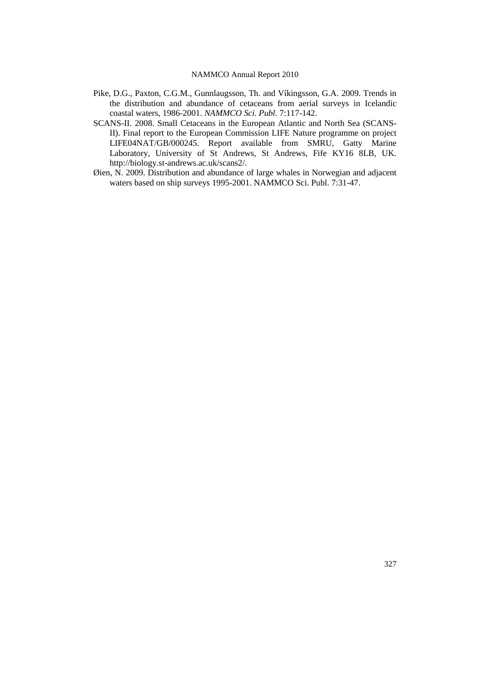- Pike, D.G., Paxton, C.G.M., Gunnlaugsson, Th. and Víkingsson, G.A. 2009. Trends in the distribution and abundance of cetaceans from aerial surveys in Icelandic coastal waters, 1986-2001. *NAMMCO Sci. Publ.* 7:117-142.
- SCANS-II. 2008. Small Cetaceans in the European Atlantic and North Sea (SCANS-II). Final report to the European Commission LIFE Nature programme on project LIFE04NAT/GB/000245. Report available from SMRU, Gatty Marine Laboratory, University of St Andrews, St Andrews, Fife KY16 8LB, UK. [http://biology.st-andrews.ac.uk/scans2/.](http://biology.st-andrews.ac.uk/scans2/)
- Øien, N. 2009. Distribution and abundance of large whales in Norwegian and adjacent waters based on ship surveys 1995-2001. NAMMCO Sci. Publ. 7:31-47.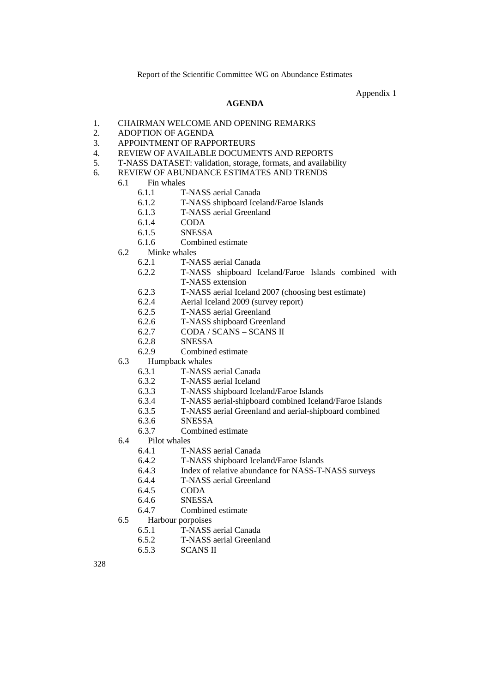Appendix 1

#### **AGENDA**

- 1. CHAIRMAN WELCOME AND OPENING REMARKS<br>2. ADOPTION OF AGENDA
- 2. ADOPTION OF AGENDA
- 3. APPOINTMENT OF RAPPORTEURS
- 4. REVIEW OF AVAILABLE DOCUMENTS AND REPORTS
- 5. T-NASS DATASET: validation, storage, formats, and availability
- 6. REVIEW OF ABUNDANCE ESTIMATES AND TRENDS
	- 6.1 Fin whales
		- 6.1.1 T-NASS aerial Canada
		- 6.1.2 T-NASS shipboard Iceland/Faroe Islands
		- 6.1.3 T-NASS aerial Greenland
		- 6.1.4 CODA
		- 6.1.5 SNESSA
		- 6.1.6 Combined estimate
		- 6.2 Minke whales
			- 6.2.1 T-NASS aerial Canada<br>6.2.2 T-NASS shipboard Ion
			- 6.2.2 T-NASS shipboard Iceland/Faroe Islands combined with T-NASS extension
			- 6.2.3 T-NASS aerial Iceland 2007 (choosing best estimate)
			- 6.2.4 Aerial Iceland 2009 (survey report)
			- 6.2.5 T-NASS aerial Greenland
			- 6.2.6 T-NASS shipboard Greenland
			- 6.2.7 CODA / SCANS SCANS II
			- 6.2.8 SNESSA
			- 6.2.9 Combined estimate
		- 6.3 Humpback whales
			- 6.3.1 T-NASS aerial Canada
			- 6.3.2 T-NASS aerial Iceland<br>6.3.3 T-NASS shipboard Icel
				- 6.3.3 T-NASS shipboard Iceland/Faroe Islands
			- 6.3.4 T-NASS aerial-shipboard combined Iceland/Faroe Islands
			- 6.3.5 T-NASS aerial Greenland and aerial-shipboard combined
			- 6.3.6 SNESSA
			- 6.3.7 Combined estimate
		- 6.4 Pilot whales
			- 6.4.1 T-NASS aerial Canada
			- 6.4.2 T-NASS shipboard Iceland/Faroe Islands
			- 6.4.3 Index of relative abundance for NASS-T-NASS surveys 6.4.4 T-NASS aerial Greenland
			- T-NASS aerial Greenland
			- 6.4.5 CODA
			- 6.4.6 SNESSA
			- 6.4.7 Combined estimate
		- 6.5 Harbour porpoises
			- 6.5.1 T-NASS aerial Canada
			- 6.5.2 T-NASS aerial Greenland
			- 6.5.3 SCANS II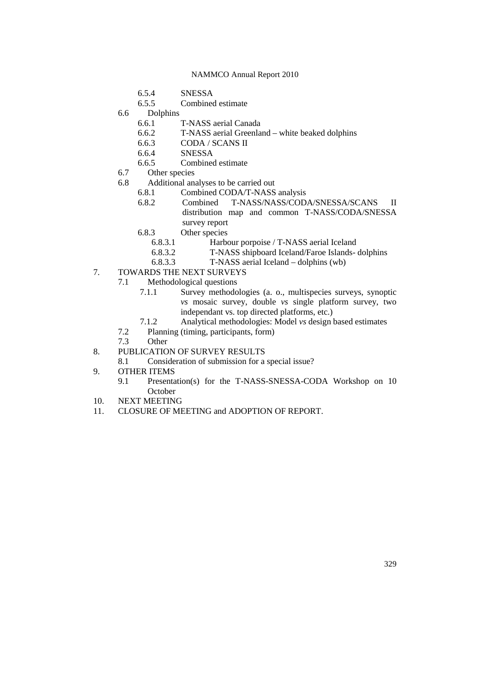- 6.5.4 SNESSA
- 6.5.5 Combined estimate
- 6.6 Dolphins
	- 6.6.1 T-NASS aerial Canada
	- 6.6.2 T-NASS aerial Greenland white beaked dolphins
	- 6.6.3 CODA / SCANS II
	- 6.6.4 SNESSA
	- Combined estimate
- 6.7 Other species
- 6.8 Additional analyses to be carried out
	- 6.8.1 Combined CODA/T-NASS analysis
	- 6.8.2 Combined T-NASS/NASS/CODA/SNESSA/SCANS II distribution map and common T-NASS/CODA/SNESSA survey report
	- 6.8.3 Other species
		- 6.8.3.1 Harbour porpoise / T-NASS aerial Iceland
		- 6.8.3.2 T-NASS shipboard Iceland/Faroe Islands- dolphins<br>6.8.3.3 T-NASS aerial Iceland dolphins (wb)
		- 6.8.3.3 T-NASS aerial Iceland dolphins (wb)
- 7. TOWARDS THE NEXT SURVEYS
	- 7.1 Methodological questions<br>7.1.1 Survey methodo
		- Survey methodologies (a. o., multispecies surveys, synoptic *vs* mosaic survey, double *vs* single platform survey, two independant vs. top directed platforms, etc.)
		- 7.1.2 Analytical methodologies: Model *vs* design based estimates
	- 7.2 Planning (timing, participants, form)
	- 7.3 Other
- 8. PUBLICATION OF SURVEY RESULTS
	- 8.1 Consideration of submission for a special issue?
- 9. OTHER ITEMS
	- 9.1 Presentation(s) for the T-NASS-SNESSA-CODA Workshop on 10 **October**
- 10. NEXT MEETING
- 11. CLOSURE OF MEETING and ADOPTION OF REPORT.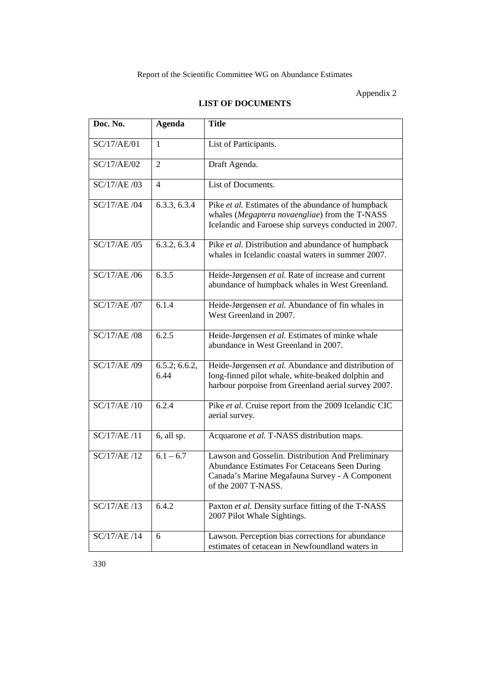# Appendix 2

# **LIST OF DOCUMENTS**

| Doc. No.            | <b>Agenda</b>         | <b>Title</b>                                                                                                                                                                |
|---------------------|-----------------------|-----------------------------------------------------------------------------------------------------------------------------------------------------------------------------|
| SC/17/AE/01         | 1                     | List of Participants.                                                                                                                                                       |
| SC/17/AE/02         | $\overline{2}$        | Draft Agenda.                                                                                                                                                               |
| SC/17/AE /03        | 4                     | List of Documents.                                                                                                                                                          |
| SC/17/AE /04        | 6.3.3, 6.3.4          | Pike et al. Estimates of the abundance of humpback<br>whales (Megaptera novaengliae) from the T-NASS<br>Icelandic and Faroese ship surveys conducted in 2007.               |
| SC/17/AE /05        | 6.3.2, 6.3.4          | Pike et al. Distribution and abundance of humpback<br>whales in Icelandic coastal waters in summer 2007.                                                                    |
| SC/17/AE /06        | 6.3.5                 | Heide-Jørgensen et al. Rate of increase and current<br>abundance of humpback whales in West Greenland.                                                                      |
| SC/17/AE /07        | 6.1.4                 | Heide-Jørgensen et al. Abundance of fin whales in<br>West Greenland in 2007.                                                                                                |
| <b>SC/17/AE /08</b> | 6.2.5                 | Heide-Jørgensen et al. Estimates of minke whale<br>abundance in West Greenland in 2007.                                                                                     |
| SC/17/AE /09        | 6.5.2; 6.6.2,<br>6.44 | Heide-Jørgensen et al. Abundance and distribution of<br>long-finned pilot whale, white-beaked dolphin and<br>harbour porpoise from Greenland aerial survey 2007.            |
| SC/17/AE /10        | 6.2.4                 | Pike et al. Cruise report from the 2009 Icelandic CIC<br>aerial survey.                                                                                                     |
| SC/17/AE/11         | 6, all sp.            | Acquarone et al. T-NASS distribution maps.                                                                                                                                  |
| SC/17/AE /12        | $6.1 - 6.7$           | Lawson and Gosselin. Distribution And Preliminary<br>Abundance Estimates For Cetaceans Seen During<br>Canada's Marine Megafauna Survey - A Component<br>of the 2007 T-NASS. |
| SC/17/AE /13        | 6.4.2                 | Paxton et al. Density surface fitting of the T-NASS<br>2007 Pilot Whale Sightings.                                                                                          |
| SC/17/AE /14        | 6                     | Lawson. Perception bias corrections for abundance<br>estimates of cetacean in Newfoundland waters in                                                                        |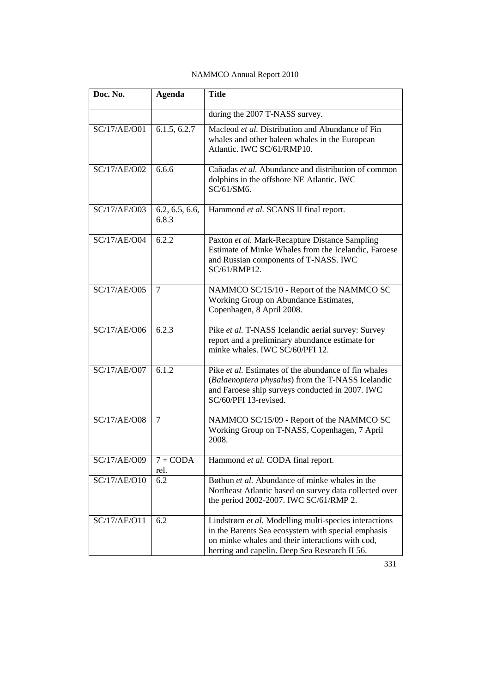| <b>NAMMCO</b> Annual Report 2010 |  |  |  |  |
|----------------------------------|--|--|--|--|
|----------------------------------|--|--|--|--|

| Doc. No.            | <b>Agenda</b>           | <b>Title</b>                                                                                                                                                                                                     |
|---------------------|-------------------------|------------------------------------------------------------------------------------------------------------------------------------------------------------------------------------------------------------------|
|                     |                         | during the 2007 T-NASS survey.                                                                                                                                                                                   |
| SC/17/AE/O01        | 6.1.5, 6.2.7            | Macleod et al. Distribution and Abundance of Fin<br>whales and other baleen whales in the European<br>Atlantic. IWC SC/61/RMP10.                                                                                 |
| SC/17/AE/O02        | 6.6.6                   | Cañadas et al. Abundance and distribution of common<br>dolphins in the offshore NE Atlantic. IWC<br>SC/61/SM6.                                                                                                   |
| SC/17/AE/O03        | 6.2, 6.5, 6.6,<br>6.8.3 | Hammond et al. SCANS II final report.                                                                                                                                                                            |
| <b>SC/17/AE/O04</b> | 6.2.2                   | Paxton et al. Mark-Recapture Distance Sampling<br>Estimate of Minke Whales from the Icelandic, Faroese<br>and Russian components of T-NASS. IWC<br>SC/61/RMP12.                                                  |
| SC/17/AE/O05        | 7                       | NAMMCO SC/15/10 - Report of the NAMMCO SC<br>Working Group on Abundance Estimates,<br>Copenhagen, 8 April 2008.                                                                                                  |
| SC/17/AE/O06        | 6.2.3                   | Pike et al. T-NASS Icelandic aerial survey: Survey<br>report and a preliminary abundance estimate for<br>minke whales. IWC SC/60/PFI 12.                                                                         |
| SC/17/AE/O07        | 6.1.2                   | Pike et al. Estimates of the abundance of fin whales<br>(Balaenoptera physalus) from the T-NASS Icelandic<br>and Faroese ship surveys conducted in 2007. IWC<br>SC/60/PFI 13-revised.                            |
| <b>SC/17/AE/O08</b> | 7                       | NAMMCO SC/15/09 - Report of the NAMMCO SC<br>Working Group on T-NASS, Copenhagen, 7 April<br>2008.                                                                                                               |
| SC/17/AE/O09        | $7 + CODA$<br>rel.      | Hammond et al. CODA final report.                                                                                                                                                                                |
| SC/17/AE/O10        | 6.2                     | Bøthun et al. Abundance of minke whales in the<br>Northeast Atlantic based on survey data collected over<br>the period 2002-2007. IWC SC/61/RMP 2.                                                               |
| SC/17/AE/O11        | 6.2                     | Lindstrøm et al. Modelling multi-species interactions<br>in the Barents Sea ecosystem with special emphasis<br>on minke whales and their interactions with cod,<br>herring and capelin. Deep Sea Research II 56. |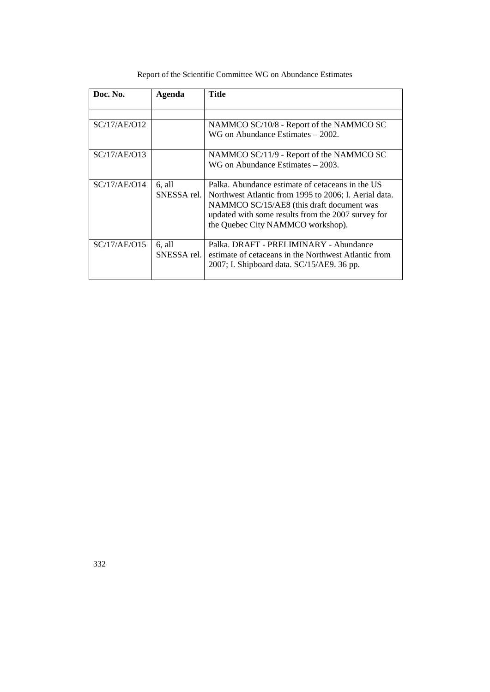| Doc. No.     | Agenda                | Title                                                                                                                                                                                                                                             |
|--------------|-----------------------|---------------------------------------------------------------------------------------------------------------------------------------------------------------------------------------------------------------------------------------------------|
|              |                       |                                                                                                                                                                                                                                                   |
| SC/17/AE/O12 |                       | NAMMCO SC/10/8 - Report of the NAMMCO SC<br>WG on Abundance Estimates $-2002$ .                                                                                                                                                                   |
| SC/17/AE/013 |                       | NAMMCO SC/11/9 - Report of the NAMMCO SC                                                                                                                                                                                                          |
|              |                       | WG on Abundance Estimates $-2003$ .                                                                                                                                                                                                               |
| SC/17/AE/O14 | 6, all<br>SNESSA rel. | Palka. Abundance estimate of cetaceans in the US<br>Northwest Atlantic from 1995 to 2006; I. Aerial data.<br>NAMMCO SC/15/AE8 (this draft document was<br>updated with some results from the 2007 survey for<br>the Quebec City NAMMCO workshop). |
| SC/17/AE/O15 | 6, all<br>SNESSA rel. | Palka, DRAFT - PRELIMINARY - Abundance<br>estimate of cetaceans in the Northwest Atlantic from<br>2007; I. Shipboard data. SC/15/AE9. 36 pp.                                                                                                      |

Report of the Scientific Committee WG on Abundance Estimates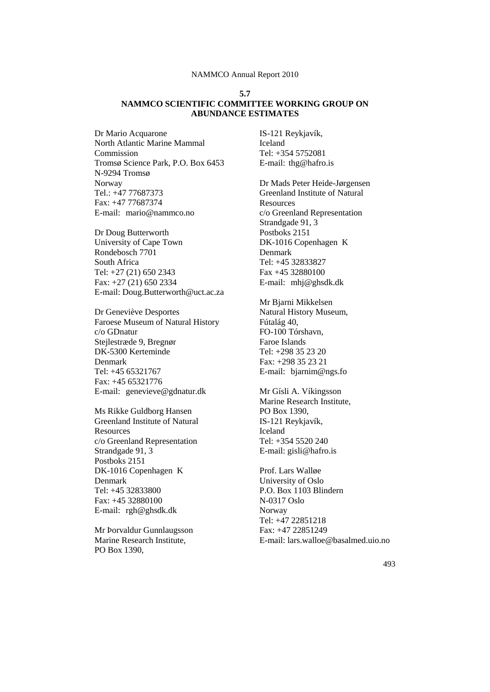### **5.7 NAMMCO SCIENTIFIC COMMITTEE WORKING GROUP ON ABUNDANCE ESTIMATES**

Dr Mario Acquarone North Atlantic Marine Mammal Commission Tromsø Science Park, P.O. Box 6453 N-9294 Tromsø Norway Tel.: +47 77687373 Fax: +47 77687374 E-mail: mario@nammco.no

Dr Doug Butterworth University of Cape Town Rondebosch 7701 South Africa Tel: +27 (21) 650 2343 Fax: +27 (21) 650 2334 E-mail: Doug.Butterworth@uct.ac.za

Dr Geneviève Desportes Faroese Museum of Natural History c/o GDnatur Stejlestræde 9, Bregnør DK-5300 Kerteminde Denmark Tel: +45 65321767 Fax: +45 65321776 E-mail: genevieve@gdnatur.dk

Ms Rikke Guldborg Hansen Greenland Institute of Natural Resources c/o Greenland Representation Strandgade 91, 3 Postboks 2151 DK-1016 Copenhagen K Denmark Tel: +45 32833800 Fax: +45 32880100 E-mail: rgh@ghsdk.dk

Mr Þorvaldur Gunnlaugsson Marine Research Institute, PO Box 1390,

IS-121 Reykjavík, Iceland Tel: +354 5752081 E-mail: thg@hafro.is

Dr Mads Peter Heide-Jørgensen Greenland Institute of Natural Resources c/o Greenland Representation Strandgade 91, 3 Postboks 2151 DK-1016 Copenhagen K Denmark Tel: +45 32833827 Fax +45 32880100 E-mail: mhj@ghsdk.dk

Mr Bjarni Mikkelsen Natural History Museum, Fútalág 40, FO-100 Tórshavn, Faroe Islands Tel: +298 35 23 20 Fax: +298 35 23 21 E-mail: bjarnim@ngs.fo

Mr Gísli A. Víkingsson Marine Research Institute, PO Box 1390, IS-121 Reykjavík, Iceland Tel: +354 5520 240 E-mail: gisli@hafro.is

Prof. Lars Walløe University of Oslo P.O. Box 1103 Blindern N-0317 Oslo Norway Tel: +47 22851218 Fax: +47 22851249 E-mail: lars.walloe@basalmed.uio.no